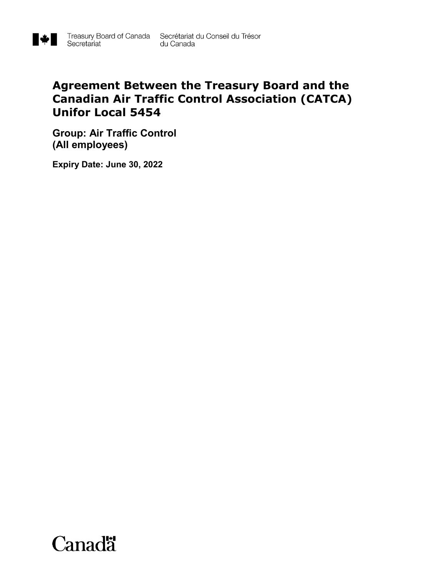

# **Agreement Between the Treasury Board and the Canadian Air Traffic Control Association (CATCA) Unifor Local 5454**

**Group: Air Traffic Control (All employees)**

**Expiry Date: June 30, 2022**

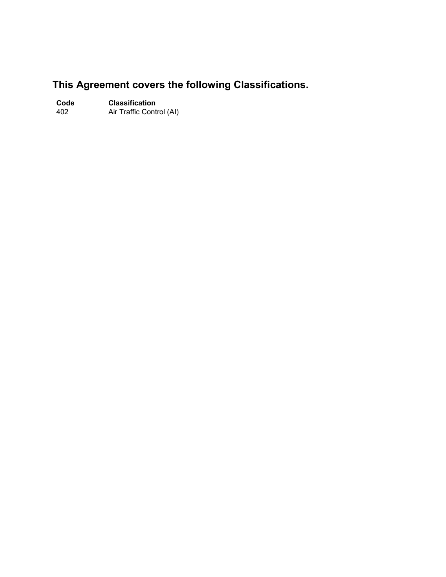# **This Agreement covers the following Classifications.**

**Code Classification**

402 Air Traffic Control (AI)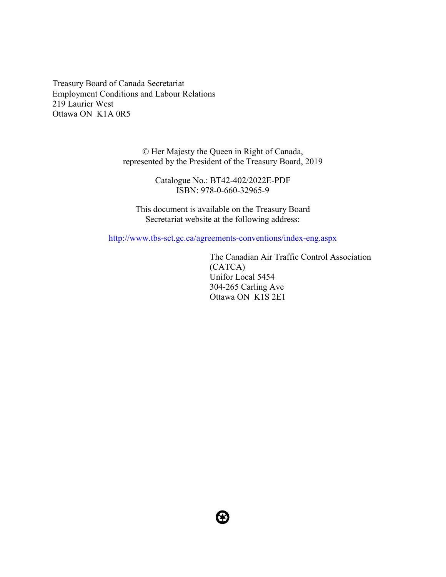Treasury Board of Canada Secretariat Employment Conditions and Labour Relations 219 Laurier West Ottawa ON K1A 0R5

> © Her Majesty the Queen in Right of Canada, represented by the President of the Treasury Board, 2019

> > Catalogue No.: BT42-402/2022E-PDF ISBN: 978-0-660-32965-9

This document is available on the Treasury Board Secretariat website at the following address:

http://www.tbs-sct.gc.ca/agreements-conventions/index-eng.aspx

The Canadian Air Traffic Control Association (CATCA) Unifor Local 5454 304-265 Carling Ave Ottawa ON K1S 2E1

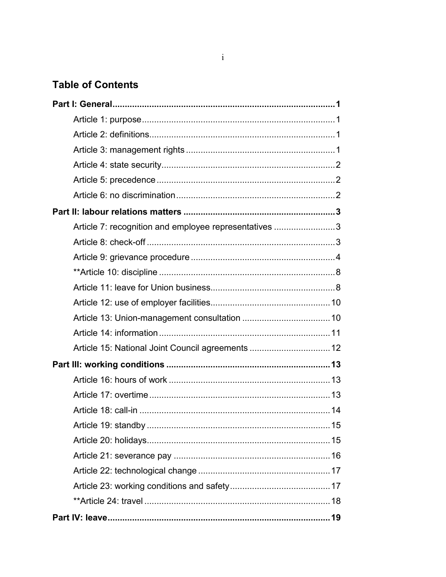# **Table of Contents**

| Article 7: recognition and employee representatives 3 |  |
|-------------------------------------------------------|--|
|                                                       |  |
|                                                       |  |
|                                                       |  |
|                                                       |  |
|                                                       |  |
|                                                       |  |
|                                                       |  |
| Article 15: National Joint Council agreements  12     |  |
|                                                       |  |
|                                                       |  |
|                                                       |  |
|                                                       |  |
|                                                       |  |
|                                                       |  |
|                                                       |  |
|                                                       |  |
|                                                       |  |
|                                                       |  |
|                                                       |  |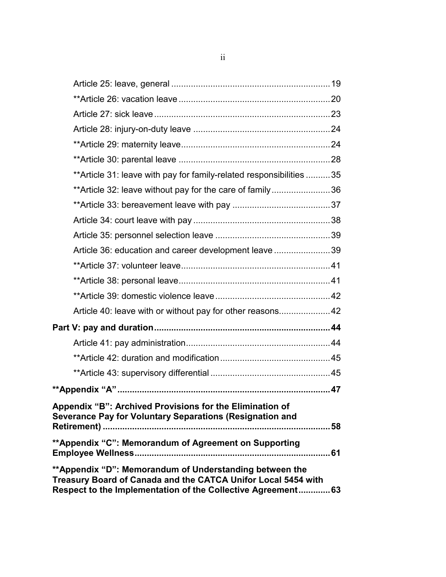| **Article 31: leave with pay for family-related responsibilities  35                                                                                                                     |  |
|------------------------------------------------------------------------------------------------------------------------------------------------------------------------------------------|--|
| **Article 32: leave without pay for the care of family36                                                                                                                                 |  |
|                                                                                                                                                                                          |  |
|                                                                                                                                                                                          |  |
|                                                                                                                                                                                          |  |
| Article 36: education and career development leave 39                                                                                                                                    |  |
|                                                                                                                                                                                          |  |
|                                                                                                                                                                                          |  |
|                                                                                                                                                                                          |  |
| Article 40: leave with or without pay for other reasons42                                                                                                                                |  |
|                                                                                                                                                                                          |  |
|                                                                                                                                                                                          |  |
|                                                                                                                                                                                          |  |
|                                                                                                                                                                                          |  |
|                                                                                                                                                                                          |  |
| Appendix "B": Archived Provisions for the Elimination of<br>Severance Pay for Voluntary Separations (Resignation and                                                                     |  |
| **Appendix "C": Memorandum of Agreement on Supporting                                                                                                                                    |  |
| **Appendix "D": Memorandum of Understanding between the<br>Treasury Board of Canada and the CATCA Unifor Local 5454 with<br>Respect to the Implementation of the Collective Agreement 63 |  |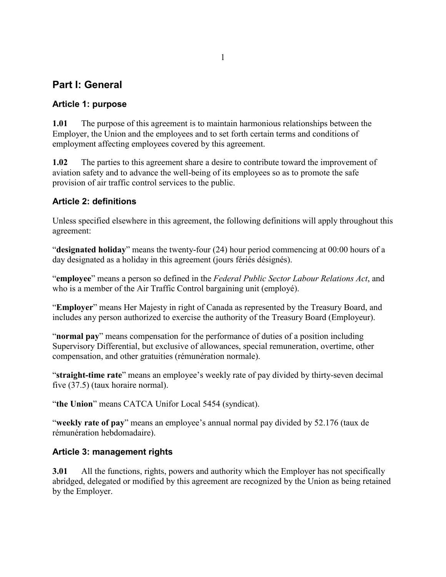# **Part I: General**

### **Article 1: purpose**

**1.01** The purpose of this agreement is to maintain harmonious relationships between the Employer, the Union and the employees and to set forth certain terms and conditions of employment affecting employees covered by this agreement.

**1.02** The parties to this agreement share a desire to contribute toward the improvement of aviation safety and to advance the well-being of its employees so as to promote the safe provision of air traffic control services to the public.

## **Article 2: definitions**

Unless specified elsewhere in this agreement, the following definitions will apply throughout this agreement:

"**designated holiday**" means the twenty-four (24) hour period commencing at 00:00 hours of a day designated as a holiday in this agreement (jours fériés désignés).

"**employee**" means a person so defined in the *Federal Public Sector Labour Relations Act*, and who is a member of the Air Traffic Control bargaining unit (employé).

"**Employer**" means Her Majesty in right of Canada as represented by the Treasury Board, and includes any person authorized to exercise the authority of the Treasury Board (Employeur).

"**normal pay**" means compensation for the performance of duties of a position including Supervisory Differential, but exclusive of allowances, special remuneration, overtime, other compensation, and other gratuities (rémunération normale).

"**straight-time rate**" means an employee's weekly rate of pay divided by thirty-seven decimal five (37.5) (taux horaire normal).

"**the Union**" means CATCA Unifor Local 5454 (syndicat).

"**weekly rate of pay**" means an employee's annual normal pay divided by 52.176 (taux de rémunération hebdomadaire).

### **Article 3: management rights**

**3.01** All the functions, rights, powers and authority which the Employer has not specifically abridged, delegated or modified by this agreement are recognized by the Union as being retained by the Employer.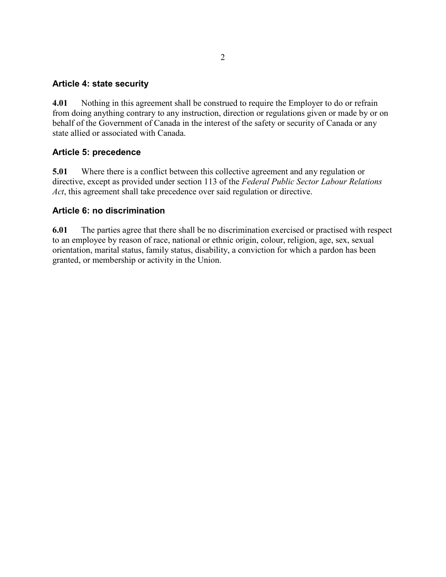#### **Article 4: state security**

**4.01** Nothing in this agreement shall be construed to require the Employer to do or refrain from doing anything contrary to any instruction, direction or regulations given or made by or on behalf of the Government of Canada in the interest of the safety or security of Canada or any state allied or associated with Canada.

### **Article 5: precedence**

**5.01** Where there is a conflict between this collective agreement and any regulation or directive, except as provided under section 113 of the *Federal Public Sector Labour Relations Act*, this agreement shall take precedence over said regulation or directive.

## **Article 6: no discrimination**

**6.01** The parties agree that there shall be no discrimination exercised or practised with respect to an employee by reason of race, national or ethnic origin, colour, religion, age, sex, sexual orientation, marital status, family status, disability, a conviction for which a pardon has been granted, or membership or activity in the Union.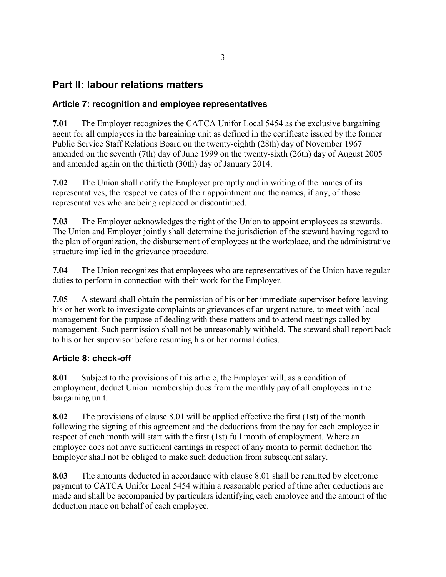# **Part II: labour relations matters**

# **Article 7: recognition and employee representatives**

**7.01** The Employer recognizes the CATCA Unifor Local 5454 as the exclusive bargaining agent for all employees in the bargaining unit as defined in the certificate issued by the former Public Service Staff Relations Board on the twenty-eighth (28th) day of November 1967 amended on the seventh (7th) day of June 1999 on the twenty-sixth (26th) day of August 2005 and amended again on the thirtieth (30th) day of January 2014.

**7.02** The Union shall notify the Employer promptly and in writing of the names of its representatives, the respective dates of their appointment and the names, if any, of those representatives who are being replaced or discontinued.

**7.03** The Employer acknowledges the right of the Union to appoint employees as stewards. The Union and Employer jointly shall determine the jurisdiction of the steward having regard to the plan of organization, the disbursement of employees at the workplace, and the administrative structure implied in the grievance procedure.

**7.04** The Union recognizes that employees who are representatives of the Union have regular duties to perform in connection with their work for the Employer.

**7.05** A steward shall obtain the permission of his or her immediate supervisor before leaving his or her work to investigate complaints or grievances of an urgent nature, to meet with local management for the purpose of dealing with these matters and to attend meetings called by management. Such permission shall not be unreasonably withheld. The steward shall report back to his or her supervisor before resuming his or her normal duties.

# **Article 8: check-off**

**8.01** Subject to the provisions of this article, the Employer will, as a condition of employment, deduct Union membership dues from the monthly pay of all employees in the bargaining unit.

**8.02** The provisions of clause 8.01 will be applied effective the first (1st) of the month following the signing of this agreement and the deductions from the pay for each employee in respect of each month will start with the first (1st) full month of employment. Where an employee does not have sufficient earnings in respect of any month to permit deduction the Employer shall not be obliged to make such deduction from subsequent salary.

**8.03** The amounts deducted in accordance with clause 8.01 shall be remitted by electronic payment to CATCA Unifor Local 5454 within a reasonable period of time after deductions are made and shall be accompanied by particulars identifying each employee and the amount of the deduction made on behalf of each employee.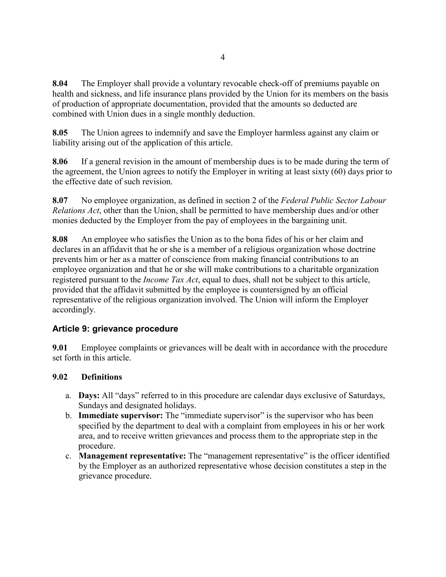**8.04** The Employer shall provide a voluntary revocable check-off of premiums payable on health and sickness, and life insurance plans provided by the Union for its members on the basis of production of appropriate documentation, provided that the amounts so deducted are combined with Union dues in a single monthly deduction.

**8.05** The Union agrees to indemnify and save the Employer harmless against any claim or liability arising out of the application of this article.

**8.06** If a general revision in the amount of membership dues is to be made during the term of the agreement, the Union agrees to notify the Employer in writing at least sixty (60) days prior to the effective date of such revision.

**8.07** No employee organization, as defined in section 2 of the *Federal Public Sector Labour Relations Act*, other than the Union, shall be permitted to have membership dues and/or other monies deducted by the Employer from the pay of employees in the bargaining unit.

**8.08** An employee who satisfies the Union as to the bona fides of his or her claim and declares in an affidavit that he or she is a member of a religious organization whose doctrine prevents him or her as a matter of conscience from making financial contributions to an employee organization and that he or she will make contributions to a charitable organization registered pursuant to the *Income Tax Act*, equal to dues, shall not be subject to this article, provided that the affidavit submitted by the employee is countersigned by an official representative of the religious organization involved. The Union will inform the Employer accordingly.

### **Article 9: grievance procedure**

**9.01** Employee complaints or grievances will be dealt with in accordance with the procedure set forth in this article.

### **9.02 Definitions**

- a. **Days:** All "days" referred to in this procedure are calendar days exclusive of Saturdays, Sundays and designated holidays.
- b. **Immediate supervisor:** The "immediate supervisor" is the supervisor who has been specified by the department to deal with a complaint from employees in his or her work area, and to receive written grievances and process them to the appropriate step in the procedure.
- c. **Management representative:** The "management representative" is the officer identified by the Employer as an authorized representative whose decision constitutes a step in the grievance procedure.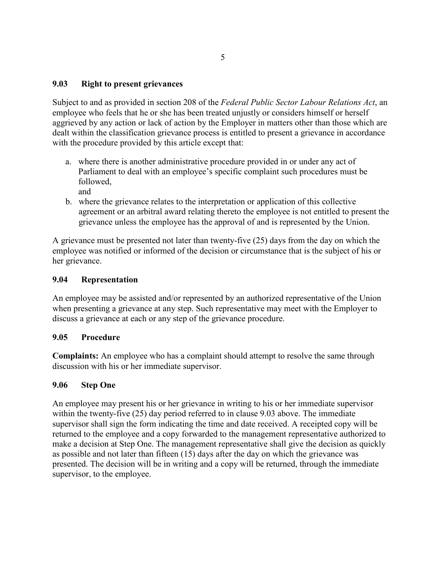#### **9.03 Right to present grievances**

Subject to and as provided in section 208 of the *Federal Public Sector Labour Relations Act*, an employee who feels that he or she has been treated unjustly or considers himself or herself aggrieved by any action or lack of action by the Employer in matters other than those which are dealt within the classification grievance process is entitled to present a grievance in accordance with the procedure provided by this article except that:

- a. where there is another administrative procedure provided in or under any act of Parliament to deal with an employee's specific complaint such procedures must be followed,
	- and
- b. where the grievance relates to the interpretation or application of this collective agreement or an arbitral award relating thereto the employee is not entitled to present the grievance unless the employee has the approval of and is represented by the Union.

A grievance must be presented not later than twenty-five (25) days from the day on which the employee was notified or informed of the decision or circumstance that is the subject of his or her grievance.

#### **9.04 Representation**

An employee may be assisted and/or represented by an authorized representative of the Union when presenting a grievance at any step. Such representative may meet with the Employer to discuss a grievance at each or any step of the grievance procedure.

#### **9.05 Procedure**

**Complaints:** An employee who has a complaint should attempt to resolve the same through discussion with his or her immediate supervisor.

#### **9.06 Step One**

An employee may present his or her grievance in writing to his or her immediate supervisor within the twenty-five (25) day period referred to in clause 9.03 above. The immediate supervisor shall sign the form indicating the time and date received. A receipted copy will be returned to the employee and a copy forwarded to the management representative authorized to make a decision at Step One. The management representative shall give the decision as quickly as possible and not later than fifteen (15) days after the day on which the grievance was presented. The decision will be in writing and a copy will be returned, through the immediate supervisor, to the employee.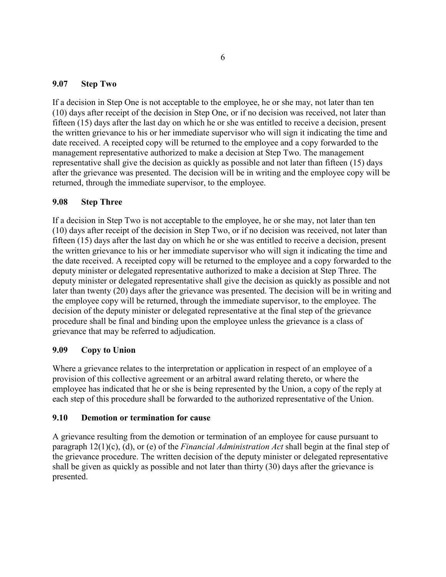#### **9.07 Step Two**

If a decision in Step One is not acceptable to the employee, he or she may, not later than ten (10) days after receipt of the decision in Step One, or if no decision was received, not later than fifteen (15) days after the last day on which he or she was entitled to receive a decision, present the written grievance to his or her immediate supervisor who will sign it indicating the time and date received. A receipted copy will be returned to the employee and a copy forwarded to the management representative authorized to make a decision at Step Two. The management representative shall give the decision as quickly as possible and not later than fifteen (15) days after the grievance was presented. The decision will be in writing and the employee copy will be returned, through the immediate supervisor, to the employee.

#### **9.08 Step Three**

If a decision in Step Two is not acceptable to the employee, he or she may, not later than ten (10) days after receipt of the decision in Step Two, or if no decision was received, not later than fifteen (15) days after the last day on which he or she was entitled to receive a decision, present the written grievance to his or her immediate supervisor who will sign it indicating the time and the date received. A receipted copy will be returned to the employee and a copy forwarded to the deputy minister or delegated representative authorized to make a decision at Step Three. The deputy minister or delegated representative shall give the decision as quickly as possible and not later than twenty (20) days after the grievance was presented. The decision will be in writing and the employee copy will be returned, through the immediate supervisor, to the employee. The decision of the deputy minister or delegated representative at the final step of the grievance procedure shall be final and binding upon the employee unless the grievance is a class of grievance that may be referred to adjudication.

#### **9.09 Copy to Union**

Where a grievance relates to the interpretation or application in respect of an employee of a provision of this collective agreement or an arbitral award relating thereto, or where the employee has indicated that he or she is being represented by the Union, a copy of the reply at each step of this procedure shall be forwarded to the authorized representative of the Union.

#### **9.10 Demotion or termination for cause**

A grievance resulting from the demotion or termination of an employee for cause pursuant to paragraph 12(1)(c), (d), or (e) of the *Financial Administration Act* shall begin at the final step of the grievance procedure. The written decision of the deputy minister or delegated representative shall be given as quickly as possible and not later than thirty (30) days after the grievance is presented.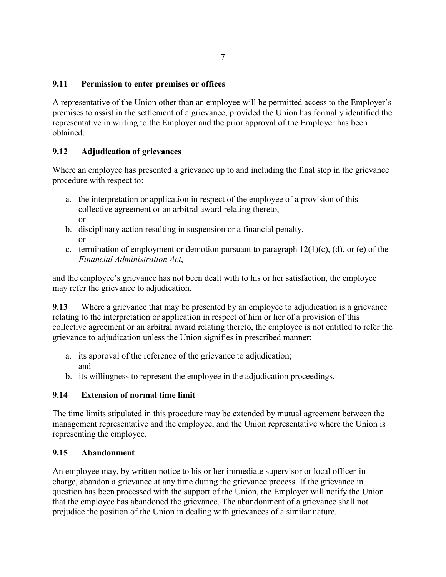#### **9.11 Permission to enter premises or offices**

A representative of the Union other than an employee will be permitted access to the Employer's premises to assist in the settlement of a grievance, provided the Union has formally identified the representative in writing to the Employer and the prior approval of the Employer has been obtained.

### **9.12 Adjudication of grievances**

Where an employee has presented a grievance up to and including the final step in the grievance procedure with respect to:

- a. the interpretation or application in respect of the employee of a provision of this collective agreement or an arbitral award relating thereto, or
- b. disciplinary action resulting in suspension or a financial penalty, or
- c. termination of employment or demotion pursuant to paragraph  $12(1)(c)$ , (d), or (e) of the *Financial Administration Act*,

and the employee's grievance has not been dealt with to his or her satisfaction, the employee may refer the grievance to adjudication.

**9.13** Where a grievance that may be presented by an employee to adjudication is a grievance relating to the interpretation or application in respect of him or her of a provision of this collective agreement or an arbitral award relating thereto, the employee is not entitled to refer the grievance to adjudication unless the Union signifies in prescribed manner:

- a. its approval of the reference of the grievance to adjudication; and
- b. its willingness to represent the employee in the adjudication proceedings.

### **9.14 Extension of normal time limit**

The time limits stipulated in this procedure may be extended by mutual agreement between the management representative and the employee, and the Union representative where the Union is representing the employee.

### **9.15 Abandonment**

An employee may, by written notice to his or her immediate supervisor or local officer-incharge, abandon a grievance at any time during the grievance process. If the grievance in question has been processed with the support of the Union, the Employer will notify the Union that the employee has abandoned the grievance. The abandonment of a grievance shall not prejudice the position of the Union in dealing with grievances of a similar nature.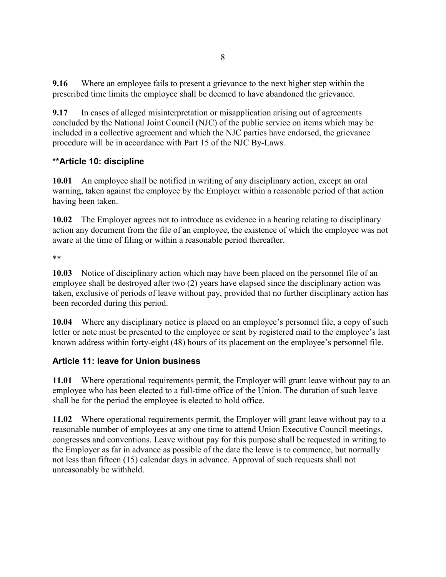**9.16** Where an employee fails to present a grievance to the next higher step within the prescribed time limits the employee shall be deemed to have abandoned the grievance.

**9.17** In cases of alleged misinterpretation or misapplication arising out of agreements concluded by the National Joint Council (NJC) of the public service on items which may be included in a collective agreement and which the NJC parties have endorsed, the grievance procedure will be in accordance with Part 15 of the NJC By-Laws.

# **\*\*Article 10: discipline**

**10.01** An employee shall be notified in writing of any disciplinary action, except an oral warning, taken against the employee by the Employer within a reasonable period of that action having been taken.

**10.02** The Employer agrees not to introduce as evidence in a hearing relating to disciplinary action any document from the file of an employee, the existence of which the employee was not aware at the time of filing or within a reasonable period thereafter.

\*\*

**10.03** Notice of disciplinary action which may have been placed on the personnel file of an employee shall be destroyed after two (2) years have elapsed since the disciplinary action was taken, exclusive of periods of leave without pay, provided that no further disciplinary action has been recorded during this period.

**10.04** Where any disciplinary notice is placed on an employee's personnel file, a copy of such letter or note must be presented to the employee or sent by registered mail to the employee's last known address within forty-eight (48) hours of its placement on the employee's personnel file.

# **Article 11: leave for Union business**

**11.01** Where operational requirements permit, the Employer will grant leave without pay to an employee who has been elected to a full-time office of the Union. The duration of such leave shall be for the period the employee is elected to hold office.

**11.02** Where operational requirements permit, the Employer will grant leave without pay to a reasonable number of employees at any one time to attend Union Executive Council meetings, congresses and conventions. Leave without pay for this purpose shall be requested in writing to the Employer as far in advance as possible of the date the leave is to commence, but normally not less than fifteen (15) calendar days in advance. Approval of such requests shall not unreasonably be withheld.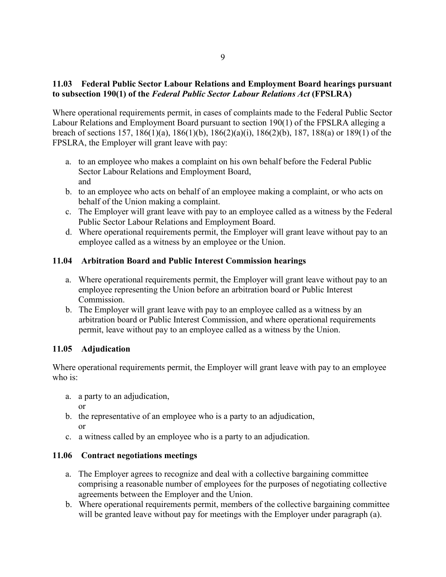#### **11.03 Federal Public Sector Labour Relations and Employment Board hearings pursuant to subsection 190(1) of the** *Federal Public Sector Labour Relations Act* **(FPSLRA)**

Where operational requirements permit, in cases of complaints made to the Federal Public Sector Labour Relations and Employment Board pursuant to section 190(1) of the FPSLRA alleging a breach of sections 157, 186(1)(a), 186(1)(b), 186(2)(a)(i), 186(2)(b), 187, 188(a) or 189(1) of the FPSLRA, the Employer will grant leave with pay:

- a. to an employee who makes a complaint on his own behalf before the Federal Public Sector Labour Relations and Employment Board, and
- b. to an employee who acts on behalf of an employee making a complaint, or who acts on behalf of the Union making a complaint.
- c. The Employer will grant leave with pay to an employee called as a witness by the Federal Public Sector Labour Relations and Employment Board.
- d. Where operational requirements permit, the Employer will grant leave without pay to an employee called as a witness by an employee or the Union.

#### **11.04 Arbitration Board and Public Interest Commission hearings**

- a. Where operational requirements permit, the Employer will grant leave without pay to an employee representing the Union before an arbitration board or Public Interest Commission.
- b. The Employer will grant leave with pay to an employee called as a witness by an arbitration board or Public Interest Commission, and where operational requirements permit, leave without pay to an employee called as a witness by the Union.

#### **11.05 Adjudication**

Where operational requirements permit, the Employer will grant leave with pay to an employee who is:

- a. a party to an adjudication, or
- b. the representative of an employee who is a party to an adjudication, or
- c. a witness called by an employee who is a party to an adjudication.

#### **11.06 Contract negotiations meetings**

- a. The Employer agrees to recognize and deal with a collective bargaining committee comprising a reasonable number of employees for the purposes of negotiating collective agreements between the Employer and the Union.
- b. Where operational requirements permit, members of the collective bargaining committee will be granted leave without pay for meetings with the Employer under paragraph (a).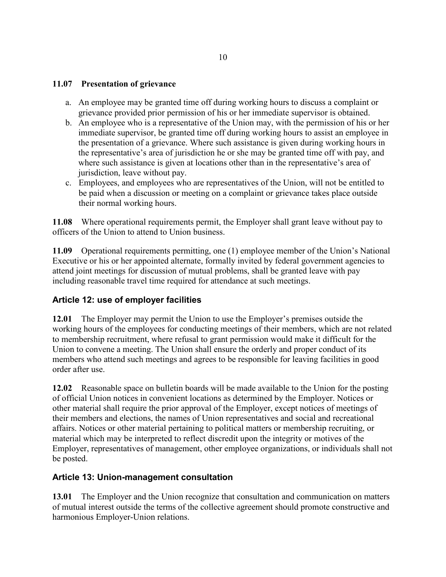#### **11.07 Presentation of grievance**

- a. An employee may be granted time off during working hours to discuss a complaint or grievance provided prior permission of his or her immediate supervisor is obtained.
- b. An employee who is a representative of the Union may, with the permission of his or her immediate supervisor, be granted time off during working hours to assist an employee in the presentation of a grievance. Where such assistance is given during working hours in the representative's area of jurisdiction he or she may be granted time off with pay, and where such assistance is given at locations other than in the representative's area of jurisdiction, leave without pay.
- c. Employees, and employees who are representatives of the Union, will not be entitled to be paid when a discussion or meeting on a complaint or grievance takes place outside their normal working hours.

**11.08** Where operational requirements permit, the Employer shall grant leave without pay to officers of the Union to attend to Union business.

**11.09** Operational requirements permitting, one (1) employee member of the Union's National Executive or his or her appointed alternate, formally invited by federal government agencies to attend joint meetings for discussion of mutual problems, shall be granted leave with pay including reasonable travel time required for attendance at such meetings.

# **Article 12: use of employer facilities**

**12.01** The Employer may permit the Union to use the Employer's premises outside the working hours of the employees for conducting meetings of their members, which are not related to membership recruitment, where refusal to grant permission would make it difficult for the Union to convene a meeting. The Union shall ensure the orderly and proper conduct of its members who attend such meetings and agrees to be responsible for leaving facilities in good order after use.

**12.02** Reasonable space on bulletin boards will be made available to the Union for the posting of official Union notices in convenient locations as determined by the Employer. Notices or other material shall require the prior approval of the Employer, except notices of meetings of their members and elections, the names of Union representatives and social and recreational affairs. Notices or other material pertaining to political matters or membership recruiting, or material which may be interpreted to reflect discredit upon the integrity or motives of the Employer, representatives of management, other employee organizations, or individuals shall not be posted.

### **Article 13: Union-management consultation**

**13.01** The Employer and the Union recognize that consultation and communication on matters of mutual interest outside the terms of the collective agreement should promote constructive and harmonious Employer-Union relations.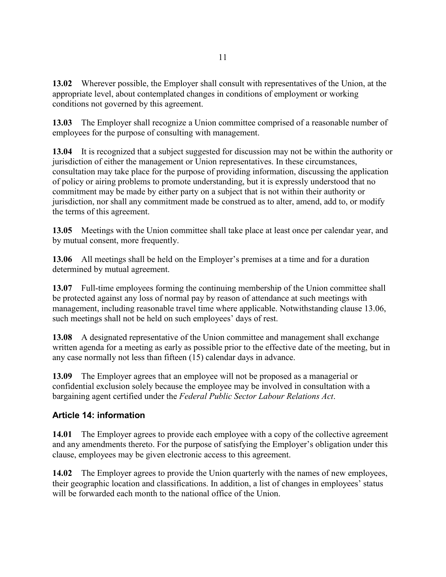**13.02** Wherever possible, the Employer shall consult with representatives of the Union, at the appropriate level, about contemplated changes in conditions of employment or working conditions not governed by this agreement.

**13.03** The Employer shall recognize a Union committee comprised of a reasonable number of employees for the purpose of consulting with management.

**13.04** It is recognized that a subject suggested for discussion may not be within the authority or jurisdiction of either the management or Union representatives. In these circumstances, consultation may take place for the purpose of providing information, discussing the application of policy or airing problems to promote understanding, but it is expressly understood that no commitment may be made by either party on a subject that is not within their authority or jurisdiction, nor shall any commitment made be construed as to alter, amend, add to, or modify the terms of this agreement.

**13.05** Meetings with the Union committee shall take place at least once per calendar year, and by mutual consent, more frequently.

**13.06** All meetings shall be held on the Employer's premises at a time and for a duration determined by mutual agreement.

**13.07** Full-time employees forming the continuing membership of the Union committee shall be protected against any loss of normal pay by reason of attendance at such meetings with management, including reasonable travel time where applicable. Notwithstanding clause 13.06, such meetings shall not be held on such employees' days of rest.

**13.08** A designated representative of the Union committee and management shall exchange written agenda for a meeting as early as possible prior to the effective date of the meeting, but in any case normally not less than fifteen (15) calendar days in advance.

**13.09** The Employer agrees that an employee will not be proposed as a managerial or confidential exclusion solely because the employee may be involved in consultation with a bargaining agent certified under the *Federal Public Sector Labour Relations Act*.

# **Article 14: information**

**14.01** The Employer agrees to provide each employee with a copy of the collective agreement and any amendments thereto. For the purpose of satisfying the Employer's obligation under this clause, employees may be given electronic access to this agreement.

**14.02** The Employer agrees to provide the Union quarterly with the names of new employees, their geographic location and classifications. In addition, a list of changes in employees' status will be forwarded each month to the national office of the Union.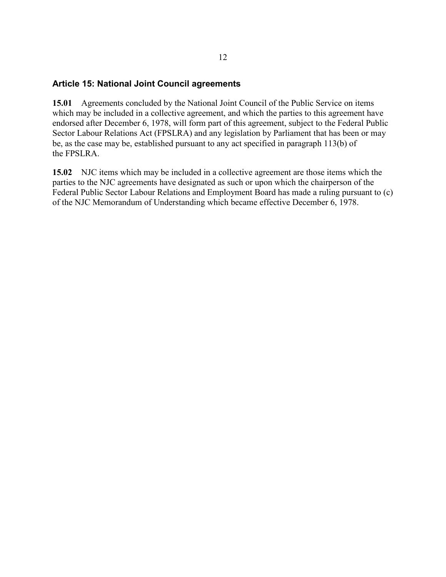#### **Article 15: National Joint Council agreements**

**15.01** Agreements concluded by the National Joint Council of the Public Service on items which may be included in a collective agreement, and which the parties to this agreement have endorsed after December 6, 1978, will form part of this agreement, subject to the Federal Public Sector Labour Relations Act (FPSLRA) and any legislation by Parliament that has been or may be, as the case may be, established pursuant to any act specified in paragraph 113(b) of the FPSLRA.

**15.02** NJC items which may be included in a collective agreement are those items which the parties to the NJC agreements have designated as such or upon which the chairperson of the Federal Public Sector Labour Relations and Employment Board has made a ruling pursuant to (c) of the NJC Memorandum of Understanding which became effective December 6, 1978.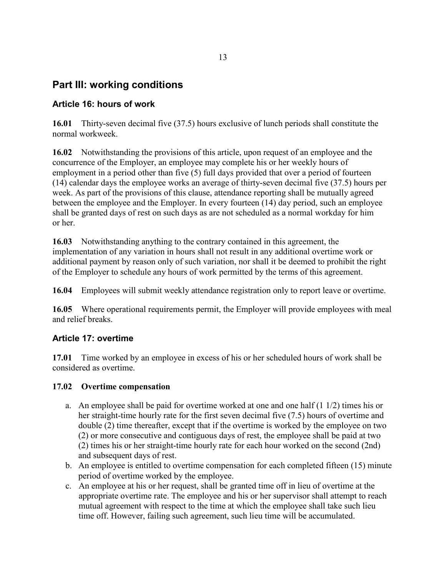# **Part III: working conditions**

### **Article 16: hours of work**

**16.01** Thirty-seven decimal five (37.5) hours exclusive of lunch periods shall constitute the normal workweek.

**16.02** Notwithstanding the provisions of this article, upon request of an employee and the concurrence of the Employer, an employee may complete his or her weekly hours of employment in a period other than five (5) full days provided that over a period of fourteen (14) calendar days the employee works an average of thirty-seven decimal five (37.5) hours per week. As part of the provisions of this clause, attendance reporting shall be mutually agreed between the employee and the Employer. In every fourteen (14) day period, such an employee shall be granted days of rest on such days as are not scheduled as a normal workday for him or her.

**16.03** Notwithstanding anything to the contrary contained in this agreement, the implementation of any variation in hours shall not result in any additional overtime work or additional payment by reason only of such variation, nor shall it be deemed to prohibit the right of the Employer to schedule any hours of work permitted by the terms of this agreement.

**16.04** Employees will submit weekly attendance registration only to report leave or overtime.

**16.05** Where operational requirements permit, the Employer will provide employees with meal and relief breaks.

### **Article 17: overtime**

**17.01** Time worked by an employee in excess of his or her scheduled hours of work shall be considered as overtime.

#### **17.02 Overtime compensation**

- a. An employee shall be paid for overtime worked at one and one half  $(1\ 1/2)$  times his or her straight-time hourly rate for the first seven decimal five (7.5) hours of overtime and double (2) time thereafter, except that if the overtime is worked by the employee on two (2) or more consecutive and contiguous days of rest, the employee shall be paid at two (2) times his or her straight-time hourly rate for each hour worked on the second (2nd) and subsequent days of rest.
- b. An employee is entitled to overtime compensation for each completed fifteen (15) minute period of overtime worked by the employee.
- c. An employee at his or her request, shall be granted time off in lieu of overtime at the appropriate overtime rate. The employee and his or her supervisor shall attempt to reach mutual agreement with respect to the time at which the employee shall take such lieu time off. However, failing such agreement, such lieu time will be accumulated.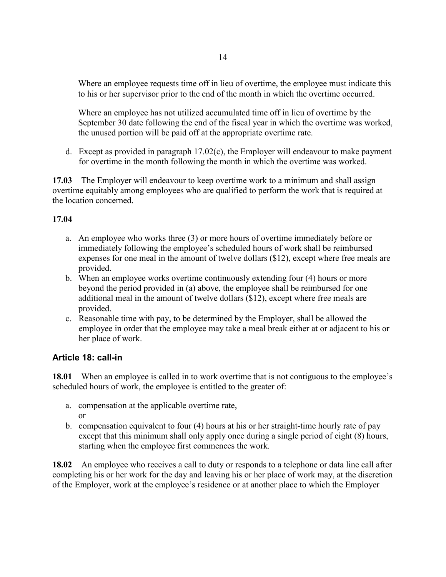Where an employee requests time off in lieu of overtime, the employee must indicate this to his or her supervisor prior to the end of the month in which the overtime occurred.

Where an employee has not utilized accumulated time off in lieu of overtime by the September 30 date following the end of the fiscal year in which the overtime was worked, the unused portion will be paid off at the appropriate overtime rate.

d. Except as provided in paragraph 17.02(c), the Employer will endeavour to make payment for overtime in the month following the month in which the overtime was worked.

**17.03** The Employer will endeavour to keep overtime work to a minimum and shall assign overtime equitably among employees who are qualified to perform the work that is required at the location concerned.

### **17.04**

- a. An employee who works three (3) or more hours of overtime immediately before or immediately following the employee's scheduled hours of work shall be reimbursed expenses for one meal in the amount of twelve dollars (\$12), except where free meals are provided.
- b. When an employee works overtime continuously extending four (4) hours or more beyond the period provided in (a) above, the employee shall be reimbursed for one additional meal in the amount of twelve dollars (\$12), except where free meals are provided.
- c. Reasonable time with pay, to be determined by the Employer, shall be allowed the employee in order that the employee may take a meal break either at or adjacent to his or her place of work.

# **Article 18: call-in**

**18.01** When an employee is called in to work overtime that is not contiguous to the employee's scheduled hours of work, the employee is entitled to the greater of:

- a. compensation at the applicable overtime rate, or
- b. compensation equivalent to four (4) hours at his or her straight-time hourly rate of pay except that this minimum shall only apply once during a single period of eight (8) hours, starting when the employee first commences the work.

**18.02** An employee who receives a call to duty or responds to a telephone or data line call after completing his or her work for the day and leaving his or her place of work may, at the discretion of the Employer, work at the employee's residence or at another place to which the Employer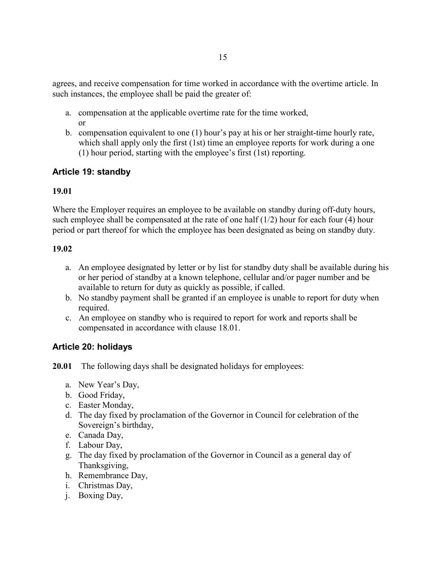agrees, and receive compensation for time worked in accordance with the overtime article. In such instances, the employee shall be paid the greater of:

- a. compensation at the applicable overtime rate for the time worked, or
- b. compensation equivalent to one (1) hour's pay at his or her straight-time hourly rate, which shall apply only the first (1st) time an employee reports for work during a one (1) hour period, starting with the employee's first (1st) reporting.

## **Article 19: standby**

#### **19.01**

Where the Employer requires an employee to be available on standby during off-duty hours, such employee shall be compensated at the rate of one half  $(1/2)$  hour for each four  $(4)$  hour period or part thereof for which the employee has been designated as being on standby duty.

#### **19.02**

- a. An employee designated by letter or by list for standby duty shall be available during his or her period of standby at a known telephone, cellular and/or pager number and be available to return for duty as quickly as possible, if called.
- b. No standby payment shall be granted if an employee is unable to report for duty when required.
- c. An employee on standby who is required to report for work and reports shall be compensated in accordance with clause 18.01.

### **Article 20: holidays**

**20.01** The following days shall be designated holidays for employees:

- a. New Year's Day,
- b. Good Friday,
- c. Easter Monday,
- d. The day fixed by proclamation of the Governor in Council for celebration of the Sovereign's birthday,
- e. Canada Day,
- f. Labour Day,
- g. The day fixed by proclamation of the Governor in Council as a general day of Thanksgiving,
- h. Remembrance Day,
- i. Christmas Day,
- j. Boxing Day,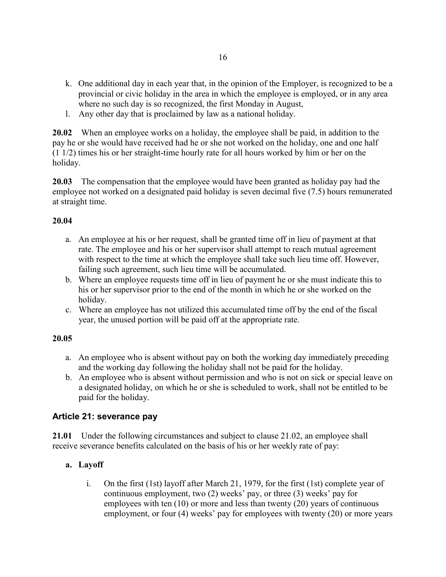- k. One additional day in each year that, in the opinion of the Employer, is recognized to be a provincial or civic holiday in the area in which the employee is employed, or in any area where no such day is so recognized, the first Monday in August,
- l. Any other day that is proclaimed by law as a national holiday.

**20.02** When an employee works on a holiday, the employee shall be paid, in addition to the pay he or she would have received had he or she not worked on the holiday, one and one half (1 1/2) times his or her straight-time hourly rate for all hours worked by him or her on the holiday.

**20.03** The compensation that the employee would have been granted as holiday pay had the employee not worked on a designated paid holiday is seven decimal five (7.5) hours remunerated at straight time.

#### **20.04**

- a. An employee at his or her request, shall be granted time off in lieu of payment at that rate. The employee and his or her supervisor shall attempt to reach mutual agreement with respect to the time at which the employee shall take such lieu time off. However, failing such agreement, such lieu time will be accumulated.
- b. Where an employee requests time off in lieu of payment he or she must indicate this to his or her supervisor prior to the end of the month in which he or she worked on the holiday.
- c. Where an employee has not utilized this accumulated time off by the end of the fiscal year, the unused portion will be paid off at the appropriate rate.

### **20.05**

- a. An employee who is absent without pay on both the working day immediately preceding and the working day following the holiday shall not be paid for the holiday.
- b. An employee who is absent without permission and who is not on sick or special leave on a designated holiday, on which he or she is scheduled to work, shall not be entitled to be paid for the holiday.

### **Article 21: severance pay**

**21.01** Under the following circumstances and subject to clause 21.02, an employee shall receive severance benefits calculated on the basis of his or her weekly rate of pay:

### **a. Layoff**

i. On the first (1st) layoff after March 21, 1979, for the first (1st) complete year of continuous employment, two (2) weeks' pay, or three (3) weeks' pay for employees with ten (10) or more and less than twenty (20) years of continuous employment, or four (4) weeks' pay for employees with twenty (20) or more years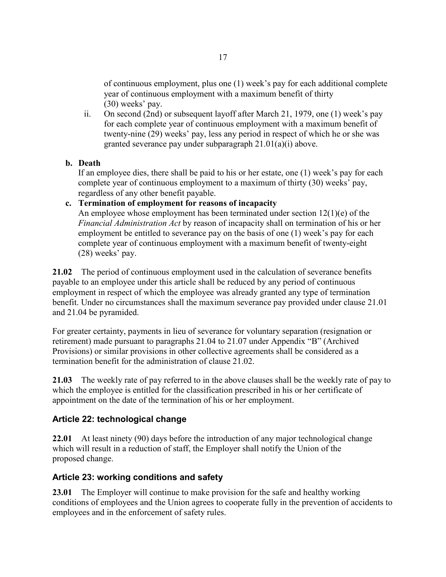of continuous employment, plus one (1) week's pay for each additional complete year of continuous employment with a maximum benefit of thirty (30) weeks' pay.

- ii. On second (2nd) or subsequent layoff after March 21, 1979, one (1) week's pay for each complete year of continuous employment with a maximum benefit of twenty-nine (29) weeks' pay, less any period in respect of which he or she was granted severance pay under subparagraph 21.01(a)(i) above.
- **b. Death**

If an employee dies, there shall be paid to his or her estate, one (1) week's pay for each complete year of continuous employment to a maximum of thirty (30) weeks' pay, regardless of any other benefit payable.

### **c. Termination of employment for reasons of incapacity**

An employee whose employment has been terminated under section  $12(1)(e)$  of the *Financial Administration Act* by reason of incapacity shall on termination of his or her employment be entitled to severance pay on the basis of one (1) week's pay for each complete year of continuous employment with a maximum benefit of twenty-eight (28) weeks' pay.

**21.02** The period of continuous employment used in the calculation of severance benefits payable to an employee under this article shall be reduced by any period of continuous employment in respect of which the employee was already granted any type of termination benefit. Under no circumstances shall the maximum severance pay provided under clause 21.01 and 21.04 be pyramided.

For greater certainty, payments in lieu of severance for voluntary separation (resignation or retirement) made pursuant to paragraphs 21.04 to 21.07 under Appendix "B" (Archived Provisions) or similar provisions in other collective agreements shall be considered as a termination benefit for the administration of clause 21.02.

**21.03** The weekly rate of pay referred to in the above clauses shall be the weekly rate of pay to which the employee is entitled for the classification prescribed in his or her certificate of appointment on the date of the termination of his or her employment.

### **Article 22: technological change**

**22.01** At least ninety (90) days before the introduction of any major technological change which will result in a reduction of staff, the Employer shall notify the Union of the proposed change.

### **Article 23: working conditions and safety**

**23.01** The Employer will continue to make provision for the safe and healthy working conditions of employees and the Union agrees to cooperate fully in the prevention of accidents to employees and in the enforcement of safety rules.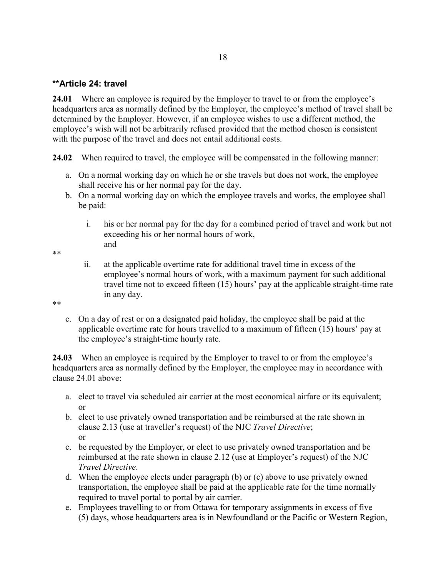#### **\*\*Article 24: travel**

**24.01** Where an employee is required by the Employer to travel to or from the employee's headquarters area as normally defined by the Employer, the employee's method of travel shall be determined by the Employer. However, if an employee wishes to use a different method, the employee's wish will not be arbitrarily refused provided that the method chosen is consistent with the purpose of the travel and does not entail additional costs.

**24.02** When required to travel, the employee will be compensated in the following manner:

- a. On a normal working day on which he or she travels but does not work, the employee shall receive his or her normal pay for the day.
- b. On a normal working day on which the employee travels and works, the employee shall be paid:
	- i. his or her normal pay for the day for a combined period of travel and work but not exceeding his or her normal hours of work, and

\*\*

ii. at the applicable overtime rate for additional travel time in excess of the employee's normal hours of work, with a maximum payment for such additional travel time not to exceed fifteen (15) hours' pay at the applicable straight-time rate in any day.

\*\*

c. On a day of rest or on a designated paid holiday, the employee shall be paid at the applicable overtime rate for hours travelled to a maximum of fifteen (15) hours' pay at the employee's straight-time hourly rate.

**24.03** When an employee is required by the Employer to travel to or from the employee's headquarters area as normally defined by the Employer, the employee may in accordance with clause 24.01 above:

- a. elect to travel via scheduled air carrier at the most economical airfare or its equivalent; or
- b. elect to use privately owned transportation and be reimbursed at the rate shown in clause 2.13 (use at traveller's request) of the NJC *Travel Directive*; or
- c. be requested by the Employer, or elect to use privately owned transportation and be reimbursed at the rate shown in clause 2.12 (use at Employer's request) of the NJC *Travel Directive*.
- d. When the employee elects under paragraph (b) or (c) above to use privately owned transportation, the employee shall be paid at the applicable rate for the time normally required to travel portal to portal by air carrier.
- e. Employees travelling to or from Ottawa for temporary assignments in excess of five (5) days, whose headquarters area is in Newfoundland or the Pacific or Western Region,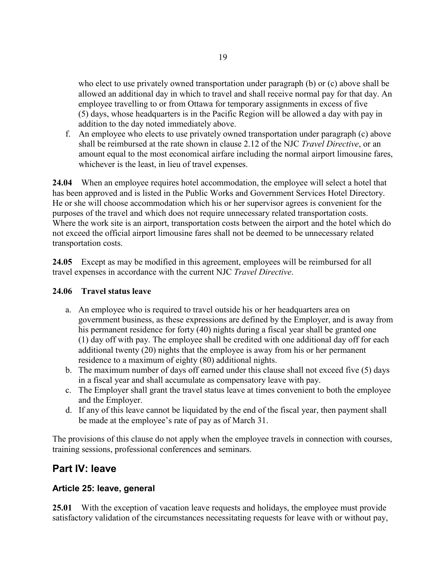who elect to use privately owned transportation under paragraph (b) or (c) above shall be allowed an additional day in which to travel and shall receive normal pay for that day. An employee travelling to or from Ottawa for temporary assignments in excess of five (5) days, whose headquarters is in the Pacific Region will be allowed a day with pay in addition to the day noted immediately above.

f. An employee who elects to use privately owned transportation under paragraph (c) above shall be reimbursed at the rate shown in clause 2.12 of the NJC *Travel Directive*, or an amount equal to the most economical airfare including the normal airport limousine fares, whichever is the least, in lieu of travel expenses.

**24.04** When an employee requires hotel accommodation, the employee will select a hotel that has been approved and is listed in the Public Works and Government Services Hotel Directory. He or she will choose accommodation which his or her supervisor agrees is convenient for the purposes of the travel and which does not require unnecessary related transportation costs. Where the work site is an airport, transportation costs between the airport and the hotel which do not exceed the official airport limousine fares shall not be deemed to be unnecessary related transportation costs.

**24.05** Except as may be modified in this agreement, employees will be reimbursed for all travel expenses in accordance with the current NJC *Travel Directive*.

#### **24.06 Travel status leave**

- a. An employee who is required to travel outside his or her headquarters area on government business, as these expressions are defined by the Employer, and is away from his permanent residence for forty (40) nights during a fiscal year shall be granted one (1) day off with pay. The employee shall be credited with one additional day off for each additional twenty (20) nights that the employee is away from his or her permanent residence to a maximum of eighty (80) additional nights.
- b. The maximum number of days off earned under this clause shall not exceed five (5) days in a fiscal year and shall accumulate as compensatory leave with pay.
- c. The Employer shall grant the travel status leave at times convenient to both the employee and the Employer.
- d. If any of this leave cannot be liquidated by the end of the fiscal year, then payment shall be made at the employee's rate of pay as of March 31.

The provisions of this clause do not apply when the employee travels in connection with courses, training sessions, professional conferences and seminars.

# **Part IV: leave**

### **Article 25: leave, general**

**25.01** With the exception of vacation leave requests and holidays, the employee must provide satisfactory validation of the circumstances necessitating requests for leave with or without pay,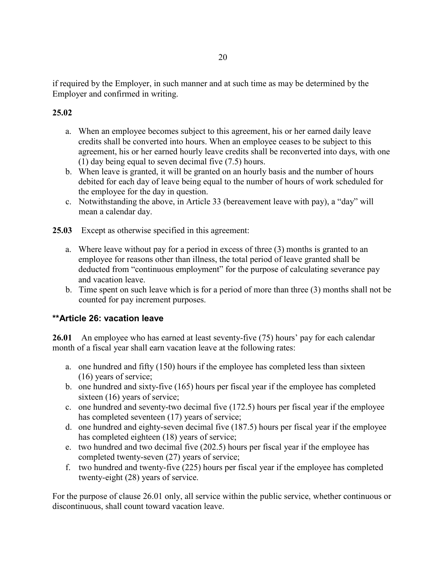if required by the Employer, in such manner and at such time as may be determined by the Employer and confirmed in writing.

## **25.02**

- a. When an employee becomes subject to this agreement, his or her earned daily leave credits shall be converted into hours. When an employee ceases to be subject to this agreement, his or her earned hourly leave credits shall be reconverted into days, with one (1) day being equal to seven decimal five (7.5) hours.
- b. When leave is granted, it will be granted on an hourly basis and the number of hours debited for each day of leave being equal to the number of hours of work scheduled for the employee for the day in question.
- c. Notwithstanding the above, in Article 33 (bereavement leave with pay), a "day" will mean a calendar day.
- **25.03** Except as otherwise specified in this agreement:
	- a. Where leave without pay for a period in excess of three (3) months is granted to an employee for reasons other than illness, the total period of leave granted shall be deducted from "continuous employment" for the purpose of calculating severance pay and vacation leave.
	- b. Time spent on such leave which is for a period of more than three (3) months shall not be counted for pay increment purposes.

# **\*\*Article 26: vacation leave**

**26.01** An employee who has earned at least seventy-five (75) hours' pay for each calendar month of a fiscal year shall earn vacation leave at the following rates:

- a. one hundred and fifty (150) hours if the employee has completed less than sixteen (16) years of service;
- b. one hundred and sixty-five (165) hours per fiscal year if the employee has completed sixteen (16) years of service;
- c. one hundred and seventy-two decimal five (172.5) hours per fiscal year if the employee has completed seventeen (17) years of service;
- d. one hundred and eighty-seven decimal five (187.5) hours per fiscal year if the employee has completed eighteen (18) years of service;
- e. two hundred and two decimal five (202.5) hours per fiscal year if the employee has completed twenty-seven (27) years of service;
- f. two hundred and twenty-five (225) hours per fiscal year if the employee has completed twenty-eight (28) years of service.

For the purpose of clause 26.01 only, all service within the public service, whether continuous or discontinuous, shall count toward vacation leave.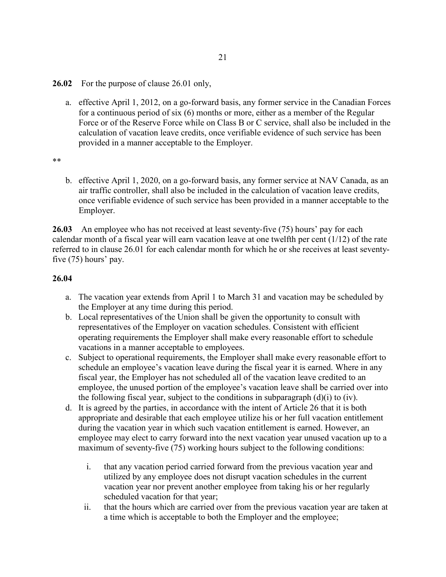- **26.02** For the purpose of clause 26.01 only,
	- a. effective April 1, 2012, on a go-forward basis, any former service in the Canadian Forces for a continuous period of six (6) months or more, either as a member of the Regular Force or of the Reserve Force while on Class B or C service, shall also be included in the calculation of vacation leave credits, once verifiable evidence of such service has been provided in a manner acceptable to the Employer.

\*\*

b. effective April 1, 2020, on a go-forward basis, any former service at NAV Canada, as an air traffic controller, shall also be included in the calculation of vacation leave credits, once verifiable evidence of such service has been provided in a manner acceptable to the Employer.

**26.03** An employee who has not received at least seventy-five (75) hours' pay for each calendar month of a fiscal year will earn vacation leave at one twelfth per cent (1/12) of the rate referred to in clause 26.01 for each calendar month for which he or she receives at least seventyfive (75) hours' pay.

#### **26.04**

- a. The vacation year extends from April 1 to March 31 and vacation may be scheduled by the Employer at any time during this period.
- b. Local representatives of the Union shall be given the opportunity to consult with representatives of the Employer on vacation schedules. Consistent with efficient operating requirements the Employer shall make every reasonable effort to schedule vacations in a manner acceptable to employees.
- c. Subject to operational requirements, the Employer shall make every reasonable effort to schedule an employee's vacation leave during the fiscal year it is earned. Where in any fiscal year, the Employer has not scheduled all of the vacation leave credited to an employee, the unused portion of the employee's vacation leave shall be carried over into the following fiscal year, subject to the conditions in subparagraph  $(d)(i)$  to  $(iv)$ .
- d. It is agreed by the parties, in accordance with the intent of Article 26 that it is both appropriate and desirable that each employee utilize his or her full vacation entitlement during the vacation year in which such vacation entitlement is earned. However, an employee may elect to carry forward into the next vacation year unused vacation up to a maximum of seventy-five (75) working hours subject to the following conditions:
	- i. that any vacation period carried forward from the previous vacation year and utilized by any employee does not disrupt vacation schedules in the current vacation year nor prevent another employee from taking his or her regularly scheduled vacation for that year;
	- ii. that the hours which are carried over from the previous vacation year are taken at a time which is acceptable to both the Employer and the employee;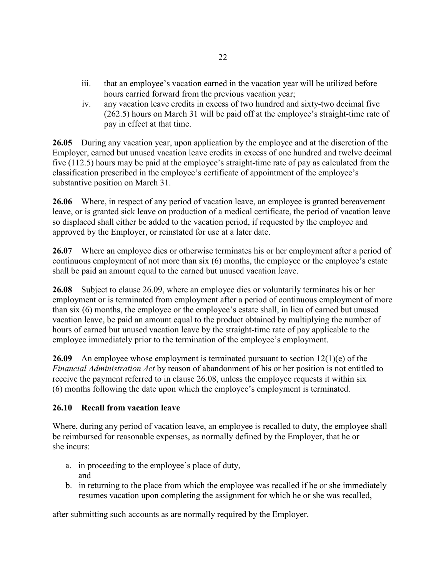- iii. that an employee's vacation earned in the vacation year will be utilized before hours carried forward from the previous vacation year;
- iv. any vacation leave credits in excess of two hundred and sixty-two decimal five (262.5) hours on March 31 will be paid off at the employee's straight-time rate of pay in effect at that time.

**26.05** During any vacation year, upon application by the employee and at the discretion of the Employer, earned but unused vacation leave credits in excess of one hundred and twelve decimal five (112.5) hours may be paid at the employee's straight-time rate of pay as calculated from the classification prescribed in the employee's certificate of appointment of the employee's substantive position on March 31.

**26.06** Where, in respect of any period of vacation leave, an employee is granted bereavement leave, or is granted sick leave on production of a medical certificate, the period of vacation leave so displaced shall either be added to the vacation period, if requested by the employee and approved by the Employer, or reinstated for use at a later date.

**26.07** Where an employee dies or otherwise terminates his or her employment after a period of continuous employment of not more than six (6) months, the employee or the employee's estate shall be paid an amount equal to the earned but unused vacation leave.

**26.08** Subject to clause 26.09, where an employee dies or voluntarily terminates his or her employment or is terminated from employment after a period of continuous employment of more than six (6) months, the employee or the employee's estate shall, in lieu of earned but unused vacation leave, be paid an amount equal to the product obtained by multiplying the number of hours of earned but unused vacation leave by the straight-time rate of pay applicable to the employee immediately prior to the termination of the employee's employment.

**26.09** An employee whose employment is terminated pursuant to section 12(1)(e) of the *Financial Administration Act* by reason of abandonment of his or her position is not entitled to receive the payment referred to in clause 26.08, unless the employee requests it within six (6) months following the date upon which the employee's employment is terminated.

### **26.10 Recall from vacation leave**

Where, during any period of vacation leave, an employee is recalled to duty, the employee shall be reimbursed for reasonable expenses, as normally defined by the Employer, that he or she incurs:

- a. in proceeding to the employee's place of duty, and
- b. in returning to the place from which the employee was recalled if he or she immediately resumes vacation upon completing the assignment for which he or she was recalled,

after submitting such accounts as are normally required by the Employer.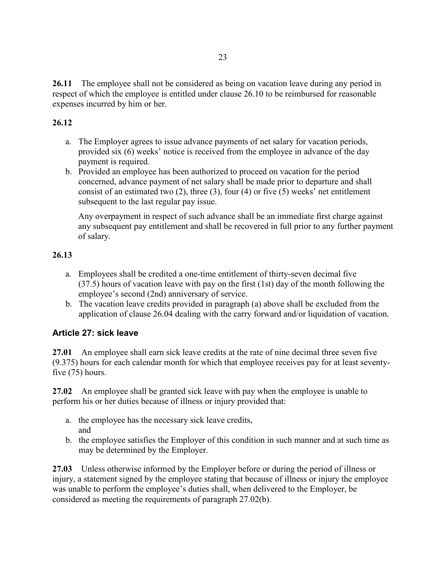**26.11** The employee shall not be considered as being on vacation leave during any period in respect of which the employee is entitled under clause 26.10 to be reimbursed for reasonable expenses incurred by him or her.

### **26.12**

- a. The Employer agrees to issue advance payments of net salary for vacation periods, provided six (6) weeks' notice is received from the employee in advance of the day payment is required.
- b. Provided an employee has been authorized to proceed on vacation for the period concerned, advance payment of net salary shall be made prior to departure and shall consist of an estimated two  $(2)$ , three  $(3)$ , four  $(4)$  or five  $(5)$  weeks' net entitlement subsequent to the last regular pay issue.

Any overpayment in respect of such advance shall be an immediate first charge against any subsequent pay entitlement and shall be recovered in full prior to any further payment of salary.

## **26.13**

- a. Employees shall be credited a one-time entitlement of thirty-seven decimal five (37.5) hours of vacation leave with pay on the first (1st) day of the month following the employee's second (2nd) anniversary of service.
- b. The vacation leave credits provided in paragraph (a) above shall be excluded from the application of clause 26.04 dealing with the carry forward and/or liquidation of vacation.

# **Article 27: sick leave**

**27.01** An employee shall earn sick leave credits at the rate of nine decimal three seven five (9.375) hours for each calendar month for which that employee receives pay for at least seventyfive (75) hours.

**27.02** An employee shall be granted sick leave with pay when the employee is unable to perform his or her duties because of illness or injury provided that:

- a. the employee has the necessary sick leave credits, and
- b. the employee satisfies the Employer of this condition in such manner and at such time as may be determined by the Employer.

**27.03** Unless otherwise informed by the Employer before or during the period of illness or injury, a statement signed by the employee stating that because of illness or injury the employee was unable to perform the employee's duties shall, when delivered to the Employer, be considered as meeting the requirements of paragraph 27.02(b).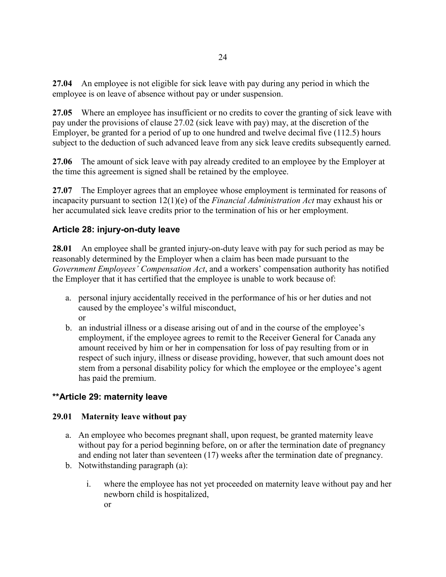**27.04** An employee is not eligible for sick leave with pay during any period in which the employee is on leave of absence without pay or under suspension.

**27.05** Where an employee has insufficient or no credits to cover the granting of sick leave with pay under the provisions of clause 27.02 (sick leave with pay) may, at the discretion of the Employer, be granted for a period of up to one hundred and twelve decimal five (112.5) hours subject to the deduction of such advanced leave from any sick leave credits subsequently earned.

**27.06** The amount of sick leave with pay already credited to an employee by the Employer at the time this agreement is signed shall be retained by the employee.

**27.07** The Employer agrees that an employee whose employment is terminated for reasons of incapacity pursuant to section 12(1)(e) of the *Financial Administration Act* may exhaust his or her accumulated sick leave credits prior to the termination of his or her employment.

## **Article 28: injury-on-duty leave**

**28.01** An employee shall be granted injury-on-duty leave with pay for such period as may be reasonably determined by the Employer when a claim has been made pursuant to the *Government Employees' Compensation Act*, and a workers' compensation authority has notified the Employer that it has certified that the employee is unable to work because of:

- a. personal injury accidentally received in the performance of his or her duties and not caused by the employee's wilful misconduct, or
- b. an industrial illness or a disease arising out of and in the course of the employee's employment, if the employee agrees to remit to the Receiver General for Canada any amount received by him or her in compensation for loss of pay resulting from or in respect of such injury, illness or disease providing, however, that such amount does not stem from a personal disability policy for which the employee or the employee's agent has paid the premium.

### **\*\*Article 29: maternity leave**

### **29.01 Maternity leave without pay**

- a. An employee who becomes pregnant shall, upon request, be granted maternity leave without pay for a period beginning before, on or after the termination date of pregnancy and ending not later than seventeen (17) weeks after the termination date of pregnancy.
- b. Notwithstanding paragraph (a):
	- i. where the employee has not yet proceeded on maternity leave without pay and her newborn child is hospitalized, or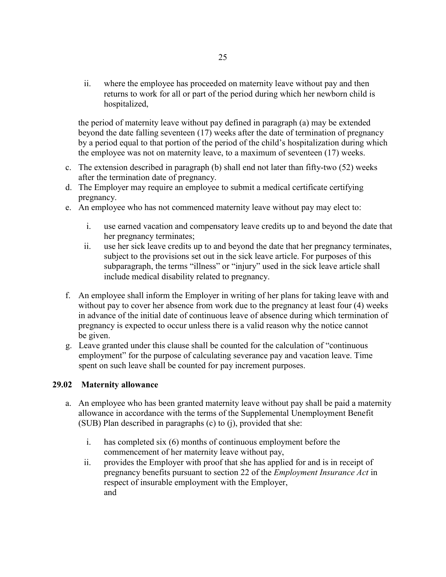ii. where the employee has proceeded on maternity leave without pay and then returns to work for all or part of the period during which her newborn child is hospitalized,

the period of maternity leave without pay defined in paragraph (a) may be extended beyond the date falling seventeen (17) weeks after the date of termination of pregnancy by a period equal to that portion of the period of the child's hospitalization during which the employee was not on maternity leave, to a maximum of seventeen (17) weeks.

- c. The extension described in paragraph (b) shall end not later than fifty-two (52) weeks after the termination date of pregnancy.
- d. The Employer may require an employee to submit a medical certificate certifying pregnancy.
- e. An employee who has not commenced maternity leave without pay may elect to:
	- i. use earned vacation and compensatory leave credits up to and beyond the date that her pregnancy terminates;
	- ii. use her sick leave credits up to and beyond the date that her pregnancy terminates, subject to the provisions set out in the sick leave article. For purposes of this subparagraph, the terms "illness" or "injury" used in the sick leave article shall include medical disability related to pregnancy.
- f. An employee shall inform the Employer in writing of her plans for taking leave with and without pay to cover her absence from work due to the pregnancy at least four (4) weeks in advance of the initial date of continuous leave of absence during which termination of pregnancy is expected to occur unless there is a valid reason why the notice cannot be given.
- g. Leave granted under this clause shall be counted for the calculation of "continuous employment" for the purpose of calculating severance pay and vacation leave. Time spent on such leave shall be counted for pay increment purposes.

#### **29.02 Maternity allowance**

- a. An employee who has been granted maternity leave without pay shall be paid a maternity allowance in accordance with the terms of the Supplemental Unemployment Benefit (SUB) Plan described in paragraphs (c) to (j), provided that she:
	- i. has completed six (6) months of continuous employment before the commencement of her maternity leave without pay,
	- ii. provides the Employer with proof that she has applied for and is in receipt of pregnancy benefits pursuant to section 22 of the *Employment Insurance Act* in respect of insurable employment with the Employer, and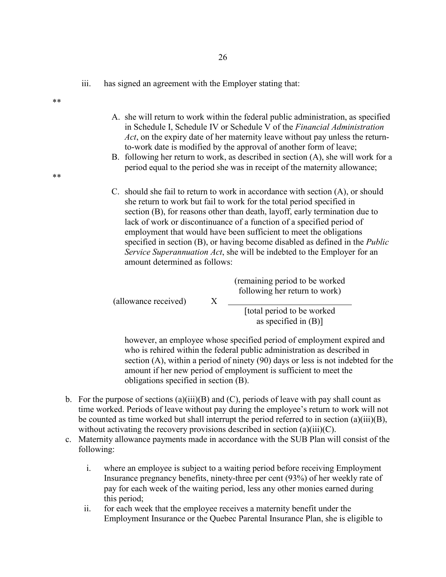- iii. has signed an agreement with the Employer stating that:
- \*\*
- A. she will return to work within the federal public administration, as specified in Schedule I, Schedule IV or Schedule V of the *Financial Administration Act*, on the expiry date of her maternity leave without pay unless the returnto-work date is modified by the approval of another form of leave;
- B. following her return to work, as described in section (A), she will work for a period equal to the period she was in receipt of the maternity allowance;
- C. should she fail to return to work in accordance with section (A), or should she return to work but fail to work for the total period specified in section (B), for reasons other than death, layoff, early termination due to lack of work or discontinuance of a function of a specified period of employment that would have been sufficient to meet the obligations specified in section (B), or having become disabled as defined in the *Public Service Superannuation Act*, she will be indebted to the Employer for an amount determined as follows:

(remaining period to be worked following her return to work)

(allowance received) X \_

total period to be worked as specified in (B)

however, an employee whose specified period of employment expired and who is rehired within the federal public administration as described in section (A), within a period of ninety (90) days or less is not indebted for the amount if her new period of employment is sufficient to meet the obligations specified in section (B).

- b. For the purpose of sections (a)(iii)(B) and (C), periods of leave with pay shall count as time worked. Periods of leave without pay during the employee's return to work will not be counted as time worked but shall interrupt the period referred to in section (a)(iii)(B), without activating the recovery provisions described in section  $(a)(iii)(C)$ .
- c. Maternity allowance payments made in accordance with the SUB Plan will consist of the following:
	- i. where an employee is subject to a waiting period before receiving Employment Insurance pregnancy benefits, ninety-three per cent (93%) of her weekly rate of pay for each week of the waiting period, less any other monies earned during this period;
	- ii. for each week that the employee receives a maternity benefit under the Employment Insurance or the Quebec Parental Insurance Plan, she is eligible to

\*\*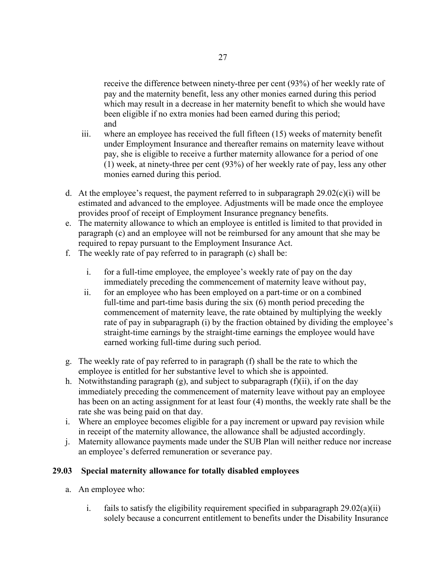receive the difference between ninety-three per cent (93%) of her weekly rate of pay and the maternity benefit, less any other monies earned during this period which may result in a decrease in her maternity benefit to which she would have been eligible if no extra monies had been earned during this period; and

- iii. where an employee has received the full fifteen (15) weeks of maternity benefit under Employment Insurance and thereafter remains on maternity leave without pay, she is eligible to receive a further maternity allowance for a period of one (1) week, at ninety-three per cent (93%) of her weekly rate of pay, less any other monies earned during this period.
- d. At the employee's request, the payment referred to in subparagraph  $29.02(c)(i)$  will be estimated and advanced to the employee. Adjustments will be made once the employee provides proof of receipt of Employment Insurance pregnancy benefits.
- e. The maternity allowance to which an employee is entitled is limited to that provided in paragraph (c) and an employee will not be reimbursed for any amount that she may be required to repay pursuant to the Employment Insurance Act.
- f. The weekly rate of pay referred to in paragraph (c) shall be:
	- i. for a full-time employee, the employee's weekly rate of pay on the day immediately preceding the commencement of maternity leave without pay,
	- ii. for an employee who has been employed on a part-time or on a combined full-time and part-time basis during the six (6) month period preceding the commencement of maternity leave, the rate obtained by multiplying the weekly rate of pay in subparagraph (i) by the fraction obtained by dividing the employee's straight-time earnings by the straight-time earnings the employee would have earned working full-time during such period.
- g. The weekly rate of pay referred to in paragraph (f) shall be the rate to which the employee is entitled for her substantive level to which she is appointed.
- h. Notwithstanding paragraph (g), and subject to subparagraph  $(f)(ii)$ , if on the day immediately preceding the commencement of maternity leave without pay an employee has been on an acting assignment for at least four (4) months, the weekly rate shall be the rate she was being paid on that day.
- i. Where an employee becomes eligible for a pay increment or upward pay revision while in receipt of the maternity allowance, the allowance shall be adjusted accordingly.
- j. Maternity allowance payments made under the SUB Plan will neither reduce nor increase an employee's deferred remuneration or severance pay.

#### **29.03 Special maternity allowance for totally disabled employees**

- a. An employee who:
	- i. fails to satisfy the eligibility requirement specified in subparagraph  $29.02(a)(ii)$ solely because a concurrent entitlement to benefits under the Disability Insurance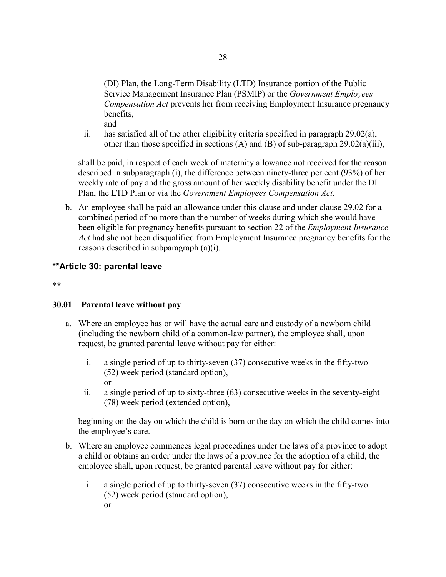(DI) Plan, the Long-Term Disability (LTD) Insurance portion of the Public Service Management Insurance Plan (PSMIP) or the *Government Employees Compensation Act* prevents her from receiving Employment Insurance pregnancy benefits, and

ii. has satisfied all of the other eligibility criteria specified in paragraph 29.02(a), other than those specified in sections (A) and (B) of sub-paragraph  $29.02(a)(iii)$ ,

shall be paid, in respect of each week of maternity allowance not received for the reason described in subparagraph (i), the difference between ninety-three per cent (93%) of her weekly rate of pay and the gross amount of her weekly disability benefit under the DI Plan, the LTD Plan or via the *Government Employees Compensation Act*.

b. An employee shall be paid an allowance under this clause and under clause 29.02 for a combined period of no more than the number of weeks during which she would have been eligible for pregnancy benefits pursuant to section 22 of the *Employment Insurance Act* had she not been disqualified from Employment Insurance pregnancy benefits for the reasons described in subparagraph (a)(i).

## **\*\*Article 30: parental leave**

or

\*\*

### **30.01 Parental leave without pay**

- a. Where an employee has or will have the actual care and custody of a newborn child (including the newborn child of a common-law partner), the employee shall, upon request, be granted parental leave without pay for either:
	- i. a single period of up to thirty-seven (37) consecutive weeks in the fifty-two (52) week period (standard option),
	- ii. a single period of up to sixty-three (63) consecutive weeks in the seventy-eight (78) week period (extended option),

beginning on the day on which the child is born or the day on which the child comes into the employee's care.

- b. Where an employee commences legal proceedings under the laws of a province to adopt a child or obtains an order under the laws of a province for the adoption of a child, the employee shall, upon request, be granted parental leave without pay for either:
	- i. a single period of up to thirty-seven (37) consecutive weeks in the fifty-two (52) week period (standard option), or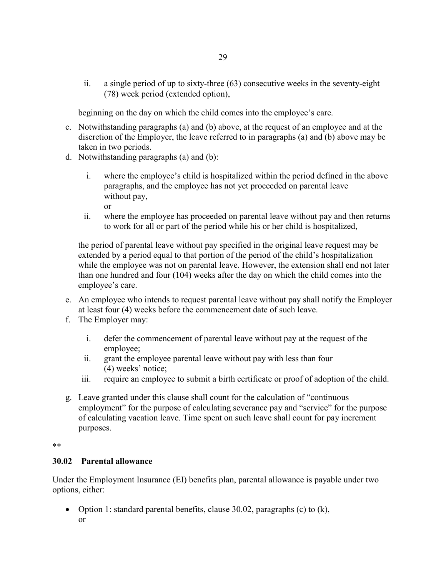ii. a single period of up to sixty-three (63) consecutive weeks in the seventy-eight (78) week period (extended option),

beginning on the day on which the child comes into the employee's care.

- c. Notwithstanding paragraphs (a) and (b) above, at the request of an employee and at the discretion of the Employer, the leave referred to in paragraphs (a) and (b) above may be taken in two periods.
- d. Notwithstanding paragraphs (a) and (b):
	- i. where the employee's child is hospitalized within the period defined in the above paragraphs, and the employee has not yet proceeded on parental leave without pay,

or

ii. where the employee has proceeded on parental leave without pay and then returns to work for all or part of the period while his or her child is hospitalized,

the period of parental leave without pay specified in the original leave request may be extended by a period equal to that portion of the period of the child's hospitalization while the employee was not on parental leave. However, the extension shall end not later than one hundred and four (104) weeks after the day on which the child comes into the employee's care.

- e. An employee who intends to request parental leave without pay shall notify the Employer at least four (4) weeks before the commencement date of such leave.
- f. The Employer may:
	- i. defer the commencement of parental leave without pay at the request of the employee;
	- ii. grant the employee parental leave without pay with less than four (4) weeks' notice;
	- iii. require an employee to submit a birth certificate or proof of adoption of the child.
- g. Leave granted under this clause shall count for the calculation of "continuous employment" for the purpose of calculating severance pay and "service" for the purpose of calculating vacation leave. Time spent on such leave shall count for pay increment purposes.

\*\*

#### **30.02 Parental allowance**

Under the Employment Insurance (EI) benefits plan, parental allowance is payable under two options, either:

• Option 1: standard parental benefits, clause  $30.02$ , paragraphs (c) to (k), or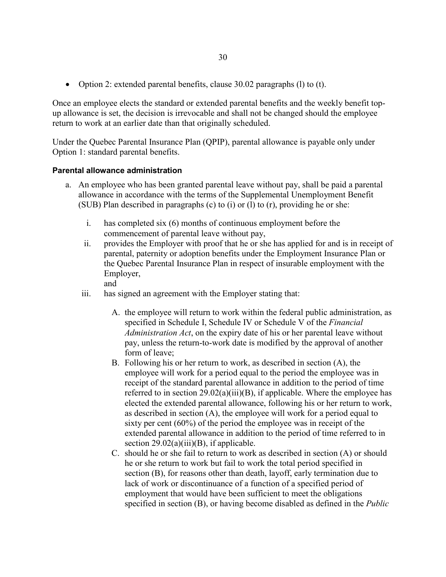Option 2: extended parental benefits, clause 30.02 paragraphs (l) to (t).

Once an employee elects the standard or extended parental benefits and the weekly benefit topup allowance is set, the decision is irrevocable and shall not be changed should the employee return to work at an earlier date than that originally scheduled.

Under the Quebec Parental Insurance Plan (QPIP), parental allowance is payable only under Option 1: standard parental benefits.

#### **Parental allowance administration**

- a. An employee who has been granted parental leave without pay, shall be paid a parental allowance in accordance with the terms of the Supplemental Unemployment Benefit (SUB) Plan described in paragraphs (c) to (i) or (l) to (r), providing he or she:
	- i. has completed six (6) months of continuous employment before the commencement of parental leave without pay,
	- ii. provides the Employer with proof that he or she has applied for and is in receipt of parental, paternity or adoption benefits under the Employment Insurance Plan or the Quebec Parental Insurance Plan in respect of insurable employment with the Employer, and
	- iii. has signed an agreement with the Employer stating that:
		- A. the employee will return to work within the federal public administration, as specified in Schedule I, Schedule IV or Schedule V of the *Financial Administration Act*, on the expiry date of his or her parental leave without pay, unless the return-to-work date is modified by the approval of another form of leave;
		- B. Following his or her return to work, as described in section (A), the employee will work for a period equal to the period the employee was in receipt of the standard parental allowance in addition to the period of time referred to in section  $29.02(a)(iii)(B)$ , if applicable. Where the employee has elected the extended parental allowance, following his or her return to work, as described in section (A), the employee will work for a period equal to sixty per cent (60%) of the period the employee was in receipt of the extended parental allowance in addition to the period of time referred to in section  $29.02(a)(iii)(B)$ , if applicable.
		- C. should he or she fail to return to work as described in section (A) or should he or she return to work but fail to work the total period specified in section (B), for reasons other than death, layoff, early termination due to lack of work or discontinuance of a function of a specified period of employment that would have been sufficient to meet the obligations specified in section (B), or having become disabled as defined in the *Public*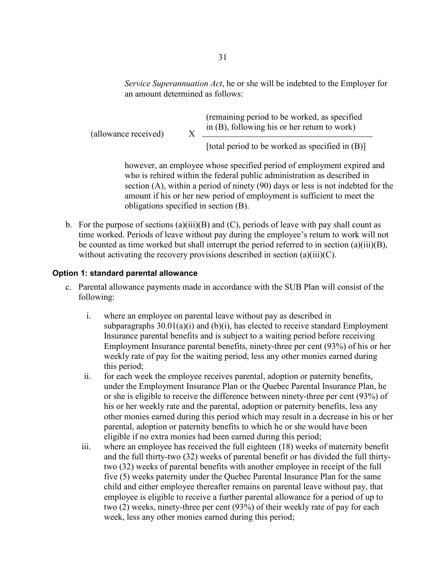*Service Superannuation Act*, he or she will be indebted to the Employer for an amount determined as follows:

| (allowance received) | (remaining period to be worked, as specified)<br>in $(B)$ , following his or her return to work) |
|----------------------|--------------------------------------------------------------------------------------------------|
|                      | [total period to be worked as specified in $(B)$ ]                                               |

however, an employee whose specified period of employment expired and who is rehired within the federal public administration as described in section (A), within a period of ninety (90) days or less is not indebted for the amount if his or her new period of employment is sufficient to meet the obligations specified in section (B).

b. For the purpose of sections (a)(iii)(B) and (C), periods of leave with pay shall count as time worked. Periods of leave without pay during the employee's return to work will not be counted as time worked but shall interrupt the period referred to in section (a)(iii)(B), without activating the recovery provisions described in section  $(a)(iii)(C)$ .

#### **Option 1: standard parental allowance**

- c. Parental allowance payments made in accordance with the SUB Plan will consist of the following:
	- i. where an employee on parental leave without pay as described in subparagraphs  $30.01(a)(i)$  and  $(b)(i)$ , has elected to receive standard Employment Insurance parental benefits and is subject to a waiting period before receiving Employment Insurance parental benefits, ninety-three per cent (93%) of his or her weekly rate of pay for the waiting period, less any other monies earned during this period;
	- ii. for each week the employee receives parental, adoption or paternity benefits, under the Employment Insurance Plan or the Quebec Parental Insurance Plan, he or she is eligible to receive the difference between ninety-three per cent (93%) of his or her weekly rate and the parental, adoption or paternity benefits, less any other monies earned during this period which may result in a decrease in his or her parental, adoption or paternity benefits to which he or she would have been eligible if no extra monies had been earned during this period;
	- iii. where an employee has received the full eighteen (18) weeks of maternity benefit and the full thirty-two (32) weeks of parental benefit or has divided the full thirtytwo (32) weeks of parental benefits with another employee in receipt of the full five (5) weeks paternity under the Quebec Parental Insurance Plan for the same child and either employee thereafter remains on parental leave without pay, that employee is eligible to receive a further parental allowance for a period of up to two (2) weeks, ninety-three per cent (93%) of their weekly rate of pay for each week, less any other monies earned during this period;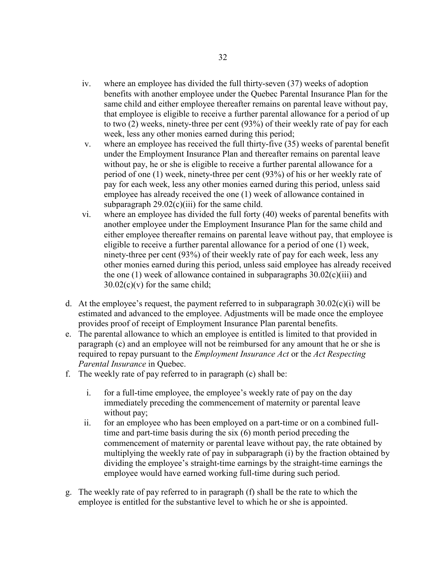- iv. where an employee has divided the full thirty-seven (37) weeks of adoption benefits with another employee under the Quebec Parental Insurance Plan for the same child and either employee thereafter remains on parental leave without pay, that employee is eligible to receive a further parental allowance for a period of up to two (2) weeks, ninety-three per cent (93%) of their weekly rate of pay for each week, less any other monies earned during this period;
- v. where an employee has received the full thirty-five (35) weeks of parental benefit under the Employment Insurance Plan and thereafter remains on parental leave without pay, he or she is eligible to receive a further parental allowance for a period of one (1) week, ninety-three per cent (93%) of his or her weekly rate of pay for each week, less any other monies earned during this period, unless said employee has already received the one (1) week of allowance contained in subparagraph  $29.02(c)(iii)$  for the same child.
- vi. where an employee has divided the full forty (40) weeks of parental benefits with another employee under the Employment Insurance Plan for the same child and either employee thereafter remains on parental leave without pay, that employee is eligible to receive a further parental allowance for a period of one (1) week, ninety-three per cent (93%) of their weekly rate of pay for each week, less any other monies earned during this period, unless said employee has already received the one  $(1)$  week of allowance contained in subparagraphs  $30.02(c)(iii)$  and  $30.02(c)(v)$  for the same child;
- d. At the employee's request, the payment referred to in subparagraph  $30.02(c)(i)$  will be estimated and advanced to the employee. Adjustments will be made once the employee provides proof of receipt of Employment Insurance Plan parental benefits.
- e. The parental allowance to which an employee is entitled is limited to that provided in paragraph (c) and an employee will not be reimbursed for any amount that he or she is required to repay pursuant to the *Employment Insurance Act* or the *Act Respecting Parental Insurance* in Quebec.
- f. The weekly rate of pay referred to in paragraph (c) shall be:
	- i. for a full-time employee, the employee's weekly rate of pay on the day immediately preceding the commencement of maternity or parental leave without pay;
	- ii. for an employee who has been employed on a part-time or on a combined fulltime and part-time basis during the six (6) month period preceding the commencement of maternity or parental leave without pay, the rate obtained by multiplying the weekly rate of pay in subparagraph (i) by the fraction obtained by dividing the employee's straight-time earnings by the straight-time earnings the employee would have earned working full-time during such period.
- g. The weekly rate of pay referred to in paragraph (f) shall be the rate to which the employee is entitled for the substantive level to which he or she is appointed.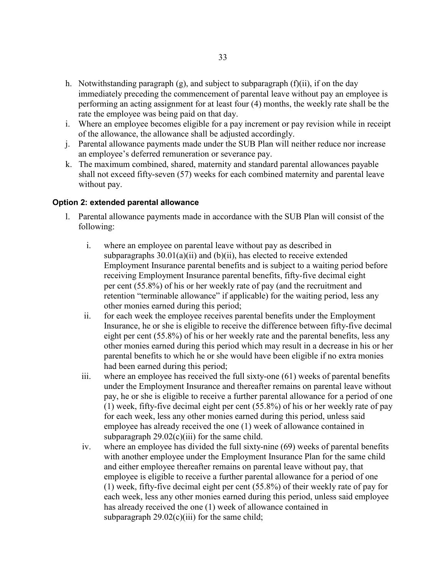- h. Notwithstanding paragraph  $(g)$ , and subject to subparagraph  $(f)(ii)$ , if on the day immediately preceding the commencement of parental leave without pay an employee is performing an acting assignment for at least four (4) months, the weekly rate shall be the rate the employee was being paid on that day.
- i. Where an employee becomes eligible for a pay increment or pay revision while in receipt of the allowance, the allowance shall be adjusted accordingly.
- j. Parental allowance payments made under the SUB Plan will neither reduce nor increase an employee's deferred remuneration or severance pay.
- k. The maximum combined, shared, maternity and standard parental allowances payable shall not exceed fifty-seven (57) weeks for each combined maternity and parental leave without pay.

#### **Option 2: extended parental allowance**

- l. Parental allowance payments made in accordance with the SUB Plan will consist of the following:
	- i. where an employee on parental leave without pay as described in subparagraphs  $30.01(a)(ii)$  and  $(b)(ii)$ , has elected to receive extended Employment Insurance parental benefits and is subject to a waiting period before receiving Employment Insurance parental benefits, fifty-five decimal eight per cent (55.8%) of his or her weekly rate of pay (and the recruitment and retention "terminable allowance" if applicable) for the waiting period, less any other monies earned during this period;
	- ii. for each week the employee receives parental benefits under the Employment Insurance, he or she is eligible to receive the difference between fifty-five decimal eight per cent (55.8%) of his or her weekly rate and the parental benefits, less any other monies earned during this period which may result in a decrease in his or her parental benefits to which he or she would have been eligible if no extra monies had been earned during this period;
	- iii. where an employee has received the full sixty-one (61) weeks of parental benefits under the Employment Insurance and thereafter remains on parental leave without pay, he or she is eligible to receive a further parental allowance for a period of one (1) week, fifty-five decimal eight per cent (55.8%) of his or her weekly rate of pay for each week, less any other monies earned during this period, unless said employee has already received the one (1) week of allowance contained in subparagraph  $29.02(c)(iii)$  for the same child.
	- iv. where an employee has divided the full sixty-nine (69) weeks of parental benefits with another employee under the Employment Insurance Plan for the same child and either employee thereafter remains on parental leave without pay, that employee is eligible to receive a further parental allowance for a period of one (1) week, fifty-five decimal eight per cent (55.8%) of their weekly rate of pay for each week, less any other monies earned during this period, unless said employee has already received the one (1) week of allowance contained in subparagraph  $29.02(c)(iii)$  for the same child;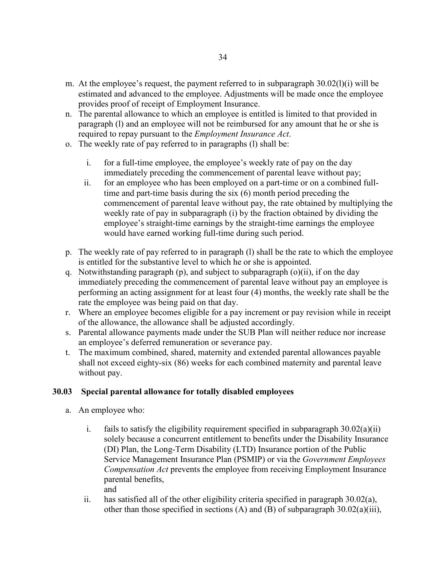- m. At the employee's request, the payment referred to in subparagraph 30.02(l)(i) will be estimated and advanced to the employee. Adjustments will be made once the employee provides proof of receipt of Employment Insurance.
- n. The parental allowance to which an employee is entitled is limited to that provided in paragraph (l) and an employee will not be reimbursed for any amount that he or she is required to repay pursuant to the *Employment Insurance Act*.
- o. The weekly rate of pay referred to in paragraphs (l) shall be:
	- i. for a full-time employee, the employee's weekly rate of pay on the day immediately preceding the commencement of parental leave without pay;
	- ii. for an employee who has been employed on a part-time or on a combined fulltime and part-time basis during the six (6) month period preceding the commencement of parental leave without pay, the rate obtained by multiplying the weekly rate of pay in subparagraph (i) by the fraction obtained by dividing the employee's straight-time earnings by the straight-time earnings the employee would have earned working full-time during such period.
- p. The weekly rate of pay referred to in paragraph (l) shall be the rate to which the employee is entitled for the substantive level to which he or she is appointed.
- q. Notwithstanding paragraph (p), and subject to subparagraph (o)(ii), if on the day immediately preceding the commencement of parental leave without pay an employee is performing an acting assignment for at least four (4) months, the weekly rate shall be the rate the employee was being paid on that day.
- r. Where an employee becomes eligible for a pay increment or pay revision while in receipt of the allowance, the allowance shall be adjusted accordingly.
- s. Parental allowance payments made under the SUB Plan will neither reduce nor increase an employee's deferred remuneration or severance pay.
- t. The maximum combined, shared, maternity and extended parental allowances payable shall not exceed eighty-six (86) weeks for each combined maternity and parental leave without pay.

### **30.03 Special parental allowance for totally disabled employees**

- a. An employee who:
	- i. fails to satisfy the eligibility requirement specified in subparagraph  $30.02(a)(ii)$ solely because a concurrent entitlement to benefits under the Disability Insurance (DI) Plan, the Long-Term Disability (LTD) Insurance portion of the Public Service Management Insurance Plan (PSMIP) or via the *Government Employees Compensation Act* prevents the employee from receiving Employment Insurance parental benefits, and
	- ii. has satisfied all of the other eligibility criteria specified in paragraph 30.02(a), other than those specified in sections (A) and (B) of subparagraph  $30.02(a)(iii)$ ,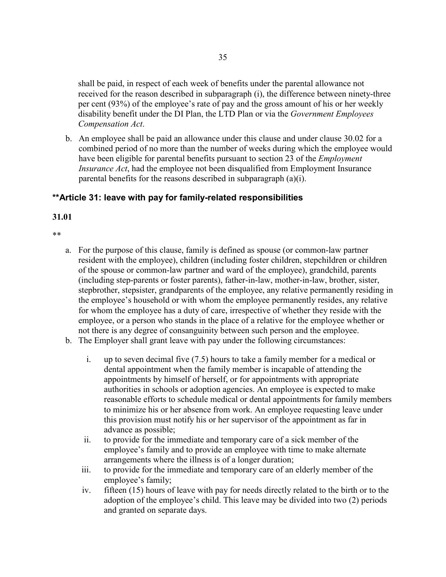shall be paid, in respect of each week of benefits under the parental allowance not received for the reason described in subparagraph (i), the difference between ninety-three per cent (93%) of the employee's rate of pay and the gross amount of his or her weekly disability benefit under the DI Plan, the LTD Plan or via the *Government Employees Compensation Act*.

b. An employee shall be paid an allowance under this clause and under clause 30.02 for a combined period of no more than the number of weeks during which the employee would have been eligible for parental benefits pursuant to section 23 of the *Employment Insurance Act*, had the employee not been disqualified from Employment Insurance parental benefits for the reasons described in subparagraph (a)(i).

### **\*\*Article 31: leave with pay for family-related responsibilities**

#### **31.01**

\*\*

- a. For the purpose of this clause, family is defined as spouse (or common-law partner resident with the employee), children (including foster children, stepchildren or children of the spouse or common-law partner and ward of the employee), grandchild, parents (including step-parents or foster parents), father-in-law, mother-in-law, brother, sister, stepbrother, stepsister, grandparents of the employee, any relative permanently residing in the employee's household or with whom the employee permanently resides, any relative for whom the employee has a duty of care, irrespective of whether they reside with the employee, or a person who stands in the place of a relative for the employee whether or not there is any degree of consanguinity between such person and the employee.
- b. The Employer shall grant leave with pay under the following circumstances:
	- i. up to seven decimal five (7.5) hours to take a family member for a medical or dental appointment when the family member is incapable of attending the appointments by himself of herself, or for appointments with appropriate authorities in schools or adoption agencies. An employee is expected to make reasonable efforts to schedule medical or dental appointments for family members to minimize his or her absence from work. An employee requesting leave under this provision must notify his or her supervisor of the appointment as far in advance as possible;
	- ii. to provide for the immediate and temporary care of a sick member of the employee's family and to provide an employee with time to make alternate arrangements where the illness is of a longer duration;
	- iii. to provide for the immediate and temporary care of an elderly member of the employee's family;
	- iv. fifteen (15) hours of leave with pay for needs directly related to the birth or to the adoption of the employee's child. This leave may be divided into two (2) periods and granted on separate days.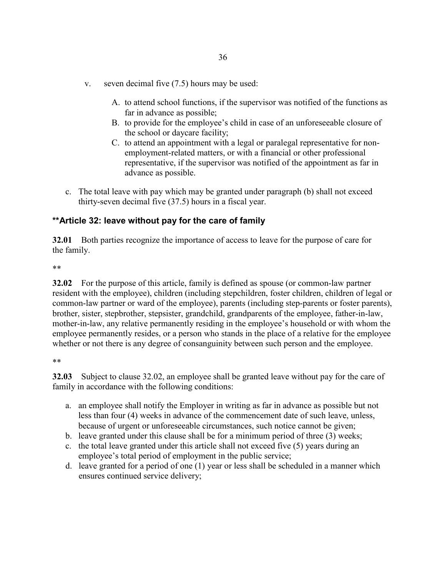- v. seven decimal five (7.5) hours may be used:
	- A. to attend school functions, if the supervisor was notified of the functions as far in advance as possible;
	- B. to provide for the employee's child in case of an unforeseeable closure of the school or daycare facility;
	- C. to attend an appointment with a legal or paralegal representative for nonemployment-related matters, or with a financial or other professional representative, if the supervisor was notified of the appointment as far in advance as possible.
- c. The total leave with pay which may be granted under paragraph (b) shall not exceed thirty-seven decimal five (37.5) hours in a fiscal year.

#### **\*\*Article 32: leave without pay for the care of family**

**32.01** Both parties recognize the importance of access to leave for the purpose of care for the family.

\*\*

**32.02** For the purpose of this article, family is defined as spouse (or common-law partner resident with the employee), children (including stepchildren, foster children, children of legal or common-law partner or ward of the employee), parents (including step-parents or foster parents), brother, sister, stepbrother, stepsister, grandchild, grandparents of the employee, father-in-law, mother-in-law, any relative permanently residing in the employee's household or with whom the employee permanently resides, or a person who stands in the place of a relative for the employee whether or not there is any degree of consanguinity between such person and the employee.

\*\*

**32.03** Subject to clause 32.02, an employee shall be granted leave without pay for the care of family in accordance with the following conditions:

- a. an employee shall notify the Employer in writing as far in advance as possible but not less than four (4) weeks in advance of the commencement date of such leave, unless, because of urgent or unforeseeable circumstances, such notice cannot be given;
- b. leave granted under this clause shall be for a minimum period of three (3) weeks;
- c. the total leave granted under this article shall not exceed five (5) years during an employee's total period of employment in the public service;
- d. leave granted for a period of one (1) year or less shall be scheduled in a manner which ensures continued service delivery;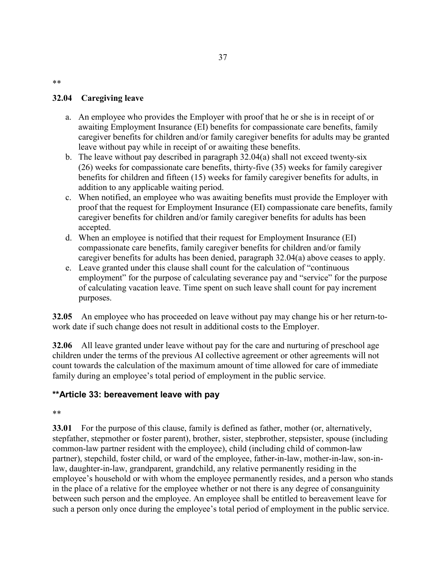#### **32.04 Caregiving leave**

- a. An employee who provides the Employer with proof that he or she is in receipt of or awaiting Employment Insurance (EI) benefits for compassionate care benefits, family caregiver benefits for children and/or family caregiver benefits for adults may be granted leave without pay while in receipt of or awaiting these benefits.
- b. The leave without pay described in paragraph 32.04(a) shall not exceed twenty-six (26) weeks for compassionate care benefits, thirty-five (35) weeks for family caregiver benefits for children and fifteen (15) weeks for family caregiver benefits for adults, in addition to any applicable waiting period.
- c. When notified, an employee who was awaiting benefits must provide the Employer with proof that the request for Employment Insurance (EI) compassionate care benefits, family caregiver benefits for children and/or family caregiver benefits for adults has been accepted.
- d. When an employee is notified that their request for Employment Insurance (EI) compassionate care benefits, family caregiver benefits for children and/or family caregiver benefits for adults has been denied, paragraph 32.04(a) above ceases to apply.
- e. Leave granted under this clause shall count for the calculation of "continuous employment" for the purpose of calculating severance pay and "service" for the purpose of calculating vacation leave. Time spent on such leave shall count for pay increment purposes.

**32.05** An employee who has proceeded on leave without pay may change his or her return-towork date if such change does not result in additional costs to the Employer.

**32.06** All leave granted under leave without pay for the care and nurturing of preschool age children under the terms of the previous AI collective agreement or other agreements will not count towards the calculation of the maximum amount of time allowed for care of immediate family during an employee's total period of employment in the public service.

### **\*\*Article 33: bereavement leave with pay**

\*\*

**33.01** For the purpose of this clause, family is defined as father, mother (or, alternatively, stepfather, stepmother or foster parent), brother, sister, stepbrother, stepsister, spouse (including common-law partner resident with the employee), child (including child of common-law partner), stepchild, foster child, or ward of the employee, father-in-law, mother-in-law, son-inlaw, daughter-in-law, grandparent, grandchild, any relative permanently residing in the employee's household or with whom the employee permanently resides, and a person who stands in the place of a relative for the employee whether or not there is any degree of consanguinity between such person and the employee. An employee shall be entitled to bereavement leave for such a person only once during the employee's total period of employment in the public service.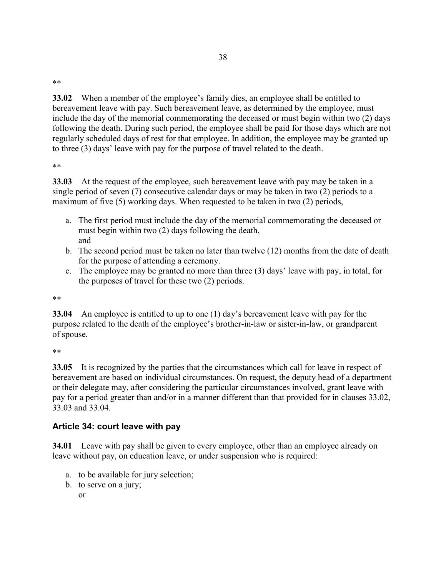\*\*

**33.02** When a member of the employee's family dies, an employee shall be entitled to bereavement leave with pay. Such bereavement leave, as determined by the employee, must include the day of the memorial commemorating the deceased or must begin within two (2) days following the death. During such period, the employee shall be paid for those days which are not regularly scheduled days of rest for that employee. In addition, the employee may be granted up to three (3) days' leave with pay for the purpose of travel related to the death.

\*\*

**33.03** At the request of the employee, such bereavement leave with pay may be taken in a single period of seven (7) consecutive calendar days or may be taken in two (2) periods to a maximum of five (5) working days. When requested to be taken in two (2) periods,

- a. The first period must include the day of the memorial commemorating the deceased or must begin within two (2) days following the death, and
- b. The second period must be taken no later than twelve (12) months from the date of death for the purpose of attending a ceremony.
- c. The employee may be granted no more than three (3) days' leave with pay, in total, for the purposes of travel for these two (2) periods.

\*\*

**33.04** An employee is entitled to up to one (1) day's bereavement leave with pay for the purpose related to the death of the employee's brother-in-law or sister-in-law, or grandparent of spouse.

\*\*

**33.05** It is recognized by the parties that the circumstances which call for leave in respect of bereavement are based on individual circumstances. On request, the deputy head of a department or their delegate may, after considering the particular circumstances involved, grant leave with pay for a period greater than and/or in a manner different than that provided for in clauses 33.02, 33.03 and 33.04.

# **Article 34: court leave with pay**

**34.01** Leave with pay shall be given to every employee, other than an employee already on leave without pay, on education leave, or under suspension who is required:

- a. to be available for jury selection;
- b. to serve on a jury;

or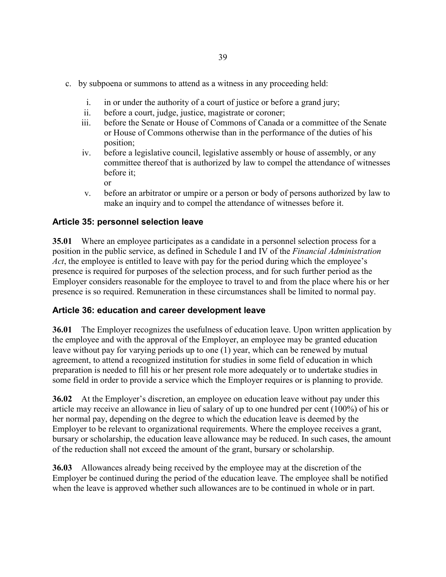- c. by subpoena or summons to attend as a witness in any proceeding held:
	- i. in or under the authority of a court of justice or before a grand jury;
	- ii. before a court, judge, justice, magistrate or coroner;
	- iii. before the Senate or House of Commons of Canada or a committee of the Senate or House of Commons otherwise than in the performance of the duties of his position;
	- iv. before a legislative council, legislative assembly or house of assembly, or any committee thereof that is authorized by law to compel the attendance of witnesses before it; or
	- v. before an arbitrator or umpire or a person or body of persons authorized by law to make an inquiry and to compel the attendance of witnesses before it.

## **Article 35: personnel selection leave**

**35.01** Where an employee participates as a candidate in a personnel selection process for a position in the public service, as defined in Schedule I and IV of the *Financial Administration Act*, the employee is entitled to leave with pay for the period during which the employee's presence is required for purposes of the selection process, and for such further period as the Employer considers reasonable for the employee to travel to and from the place where his or her presence is so required. Remuneration in these circumstances shall be limited to normal pay.

### **Article 36: education and career development leave**

**36.01** The Employer recognizes the usefulness of education leave. Upon written application by the employee and with the approval of the Employer, an employee may be granted education leave without pay for varying periods up to one (1) year, which can be renewed by mutual agreement, to attend a recognized institution for studies in some field of education in which preparation is needed to fill his or her present role more adequately or to undertake studies in some field in order to provide a service which the Employer requires or is planning to provide.

**36.02** At the Employer's discretion, an employee on education leave without pay under this article may receive an allowance in lieu of salary of up to one hundred per cent (100%) of his or her normal pay, depending on the degree to which the education leave is deemed by the Employer to be relevant to organizational requirements. Where the employee receives a grant, bursary or scholarship, the education leave allowance may be reduced. In such cases, the amount of the reduction shall not exceed the amount of the grant, bursary or scholarship.

**36.03** Allowances already being received by the employee may at the discretion of the Employer be continued during the period of the education leave. The employee shall be notified when the leave is approved whether such allowances are to be continued in whole or in part.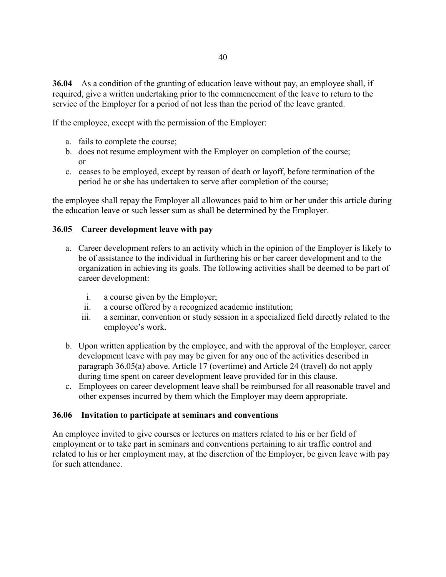**36.04** As a condition of the granting of education leave without pay, an employee shall, if required, give a written undertaking prior to the commencement of the leave to return to the service of the Employer for a period of not less than the period of the leave granted.

If the employee, except with the permission of the Employer:

- a. fails to complete the course;
- b. does not resume employment with the Employer on completion of the course; or
- c. ceases to be employed, except by reason of death or layoff, before termination of the period he or she has undertaken to serve after completion of the course;

the employee shall repay the Employer all allowances paid to him or her under this article during the education leave or such lesser sum as shall be determined by the Employer.

#### **36.05 Career development leave with pay**

- a. Career development refers to an activity which in the opinion of the Employer is likely to be of assistance to the individual in furthering his or her career development and to the organization in achieving its goals. The following activities shall be deemed to be part of career development:
	- i. a course given by the Employer;
	- ii. a course offered by a recognized academic institution;
	- iii. a seminar, convention or study session in a specialized field directly related to the employee's work.
- b. Upon written application by the employee, and with the approval of the Employer, career development leave with pay may be given for any one of the activities described in paragraph 36.05(a) above. Article 17 (overtime) and Article 24 (travel) do not apply during time spent on career development leave provided for in this clause.
- c. Employees on career development leave shall be reimbursed for all reasonable travel and other expenses incurred by them which the Employer may deem appropriate.

#### **36.06 Invitation to participate at seminars and conventions**

An employee invited to give courses or lectures on matters related to his or her field of employment or to take part in seminars and conventions pertaining to air traffic control and related to his or her employment may, at the discretion of the Employer, be given leave with pay for such attendance.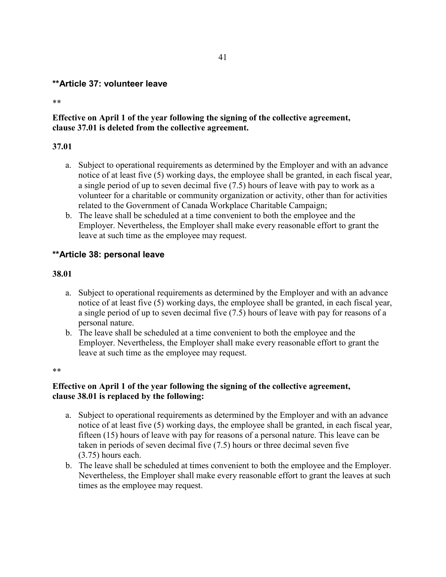#### **\*\*Article 37: volunteer leave**

\*\*

### **Effective on April 1 of the year following the signing of the collective agreement, clause 37.01 is deleted from the collective agreement.**

### **37.01**

- a. Subject to operational requirements as determined by the Employer and with an advance notice of at least five (5) working days, the employee shall be granted, in each fiscal year, a single period of up to seven decimal five (7.5) hours of leave with pay to work as a volunteer for a charitable or community organization or activity, other than for activities related to the Government of Canada Workplace Charitable Campaign;
- b. The leave shall be scheduled at a time convenient to both the employee and the Employer. Nevertheless, the Employer shall make every reasonable effort to grant the leave at such time as the employee may request.

# **\*\*Article 38: personal leave**

#### **38.01**

- a. Subject to operational requirements as determined by the Employer and with an advance notice of at least five (5) working days, the employee shall be granted, in each fiscal year, a single period of up to seven decimal five (7.5) hours of leave with pay for reasons of a personal nature.
- b. The leave shall be scheduled at a time convenient to both the employee and the Employer. Nevertheless, the Employer shall make every reasonable effort to grant the leave at such time as the employee may request.

#### \*\*

## **Effective on April 1 of the year following the signing of the collective agreement, clause 38.01 is replaced by the following:**

- a. Subject to operational requirements as determined by the Employer and with an advance notice of at least five (5) working days, the employee shall be granted, in each fiscal year, fifteen (15) hours of leave with pay for reasons of a personal nature. This leave can be taken in periods of seven decimal five (7.5) hours or three decimal seven five (3.75) hours each.
- b. The leave shall be scheduled at times convenient to both the employee and the Employer. Nevertheless, the Employer shall make every reasonable effort to grant the leaves at such times as the employee may request.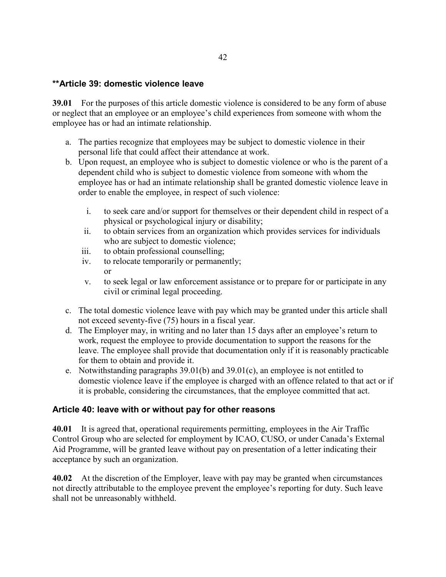#### **\*\*Article 39: domestic violence leave**

**39.01** For the purposes of this article domestic violence is considered to be any form of abuse or neglect that an employee or an employee's child experiences from someone with whom the employee has or had an intimate relationship.

- a. The parties recognize that employees may be subject to domestic violence in their personal life that could affect their attendance at work.
- b. Upon request, an employee who is subject to domestic violence or who is the parent of a dependent child who is subject to domestic violence from someone with whom the employee has or had an intimate relationship shall be granted domestic violence leave in order to enable the employee, in respect of such violence:
	- i. to seek care and/or support for themselves or their dependent child in respect of a physical or psychological injury or disability;
	- ii. to obtain services from an organization which provides services for individuals who are subject to domestic violence;
	- iii. to obtain professional counselling;
	- iv. to relocate temporarily or permanently; or
	- v. to seek legal or law enforcement assistance or to prepare for or participate in any civil or criminal legal proceeding.
- c. The total domestic violence leave with pay which may be granted under this article shall not exceed seventy-five (75) hours in a fiscal year.
- d. The Employer may, in writing and no later than 15 days after an employee's return to work, request the employee to provide documentation to support the reasons for the leave. The employee shall provide that documentation only if it is reasonably practicable for them to obtain and provide it.
- e. Notwithstanding paragraphs 39.01(b) and 39.01(c), an employee is not entitled to domestic violence leave if the employee is charged with an offence related to that act or if it is probable, considering the circumstances, that the employee committed that act.

### **Article 40: leave with or without pay for other reasons**

**40.01** It is agreed that, operational requirements permitting, employees in the Air Traffic Control Group who are selected for employment by ICAO, CUSO, or under Canada's External Aid Programme, will be granted leave without pay on presentation of a letter indicating their acceptance by such an organization.

**40.02** At the discretion of the Employer, leave with pay may be granted when circumstances not directly attributable to the employee prevent the employee's reporting for duty. Such leave shall not be unreasonably withheld.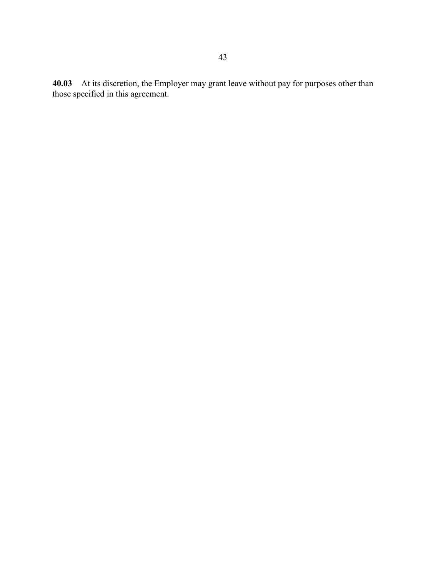**40.03** At its discretion, the Employer may grant leave without pay for purposes other than those specified in this agreement.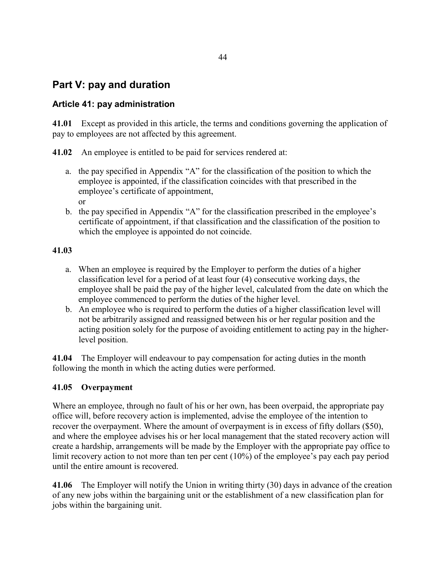# **Part V: pay and duration**

#### **Article 41: pay administration**

**41.01** Except as provided in this article, the terms and conditions governing the application of pay to employees are not affected by this agreement.

**41.02** An employee is entitled to be paid for services rendered at:

- a. the pay specified in Appendix "A" for the classification of the position to which the employee is appointed, if the classification coincides with that prescribed in the employee's certificate of appointment, or
- b. the pay specified in Appendix "A" for the classification prescribed in the employee's certificate of appointment, if that classification and the classification of the position to which the employee is appointed do not coincide.

#### **41.03**

- a. When an employee is required by the Employer to perform the duties of a higher classification level for a period of at least four (4) consecutive working days, the employee shall be paid the pay of the higher level, calculated from the date on which the employee commenced to perform the duties of the higher level.
- b. An employee who is required to perform the duties of a higher classification level will not be arbitrarily assigned and reassigned between his or her regular position and the acting position solely for the purpose of avoiding entitlement to acting pay in the higherlevel position.

**41.04** The Employer will endeavour to pay compensation for acting duties in the month following the month in which the acting duties were performed.

#### **41.05 Overpayment**

Where an employee, through no fault of his or her own, has been overpaid, the appropriate pay office will, before recovery action is implemented, advise the employee of the intention to recover the overpayment. Where the amount of overpayment is in excess of fifty dollars (\$50), and where the employee advises his or her local management that the stated recovery action will create a hardship, arrangements will be made by the Employer with the appropriate pay office to limit recovery action to not more than ten per cent (10%) of the employee's pay each pay period until the entire amount is recovered.

**41.06** The Employer will notify the Union in writing thirty (30) days in advance of the creation of any new jobs within the bargaining unit or the establishment of a new classification plan for jobs within the bargaining unit.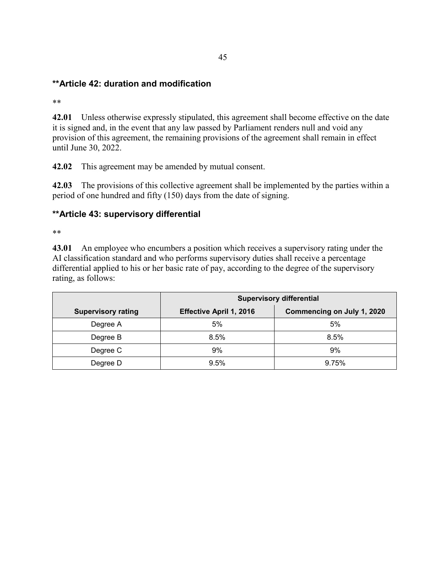## **\*\*Article 42: duration and modification**

\*\*

**42.01** Unless otherwise expressly stipulated, this agreement shall become effective on the date it is signed and, in the event that any law passed by Parliament renders null and void any provision of this agreement, the remaining provisions of the agreement shall remain in effect until June 30, 2022.

**42.02** This agreement may be amended by mutual consent.

**42.03** The provisions of this collective agreement shall be implemented by the parties within a period of one hundred and fifty (150) days from the date of signing.

## **\*\*Article 43: supervisory differential**

\*\*

**43.01** An employee who encumbers a position which receives a supervisory rating under the AI classification standard and who performs supervisory duties shall receive a percentage differential applied to his or her basic rate of pay, according to the degree of the supervisory rating, as follows:

|                           | <b>Supervisory differential</b> |                            |  |  |  |  |
|---------------------------|---------------------------------|----------------------------|--|--|--|--|
| <b>Supervisory rating</b> | <b>Effective April 1, 2016</b>  | Commencing on July 1, 2020 |  |  |  |  |
| Degree A                  | 5%                              | 5%                         |  |  |  |  |
| Degree B                  | 8.5%                            | 8.5%                       |  |  |  |  |
| Degree C                  | 9%                              | 9%                         |  |  |  |  |
| Degree D                  | 9.5%                            | 9.75%                      |  |  |  |  |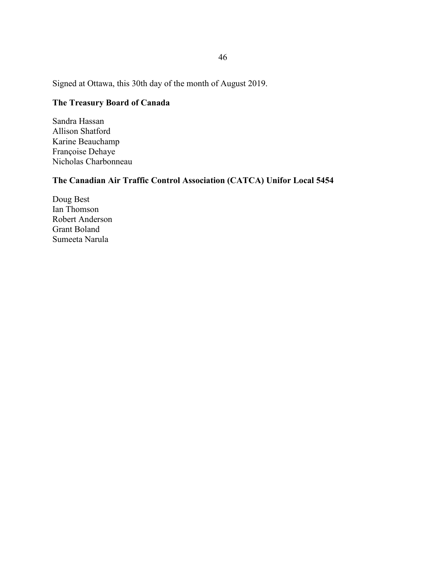Signed at Ottawa, this 30th day of the month of August 2019.

## **The Treasury Board of Canada**

Sandra Hassan Allison Shatford Karine Beauchamp Françoise Dehaye Nicholas Charbonneau

#### **The Canadian Air Traffic Control Association (CATCA) Unifor Local 5454**

Doug Best Ian Thomson Robert Anderson Grant Boland Sumeeta Narula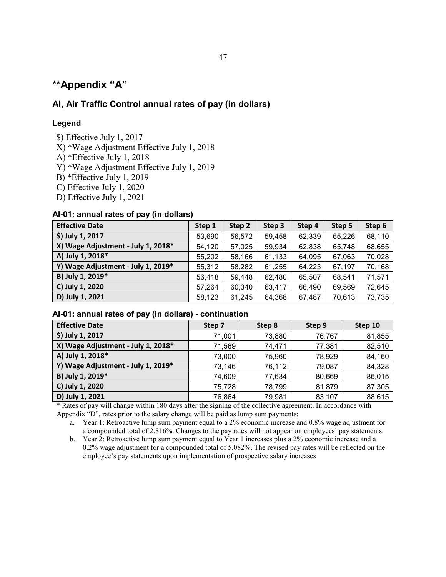## **\*\*Appendix "A"**

#### **AI, Air Traffic Control annual rates of pay (in dollars)**

#### **Legend**

- \$) Effective July 1, 2017
- X) \*Wage Adjustment Effective July 1, 2018
- A) \*Effective July 1, 2018
- Y) \*Wage Adjustment Effective July 1, 2019
- B) \*Effective July 1, 2019
- C) Effective July 1, 2020
- D) Effective July 1, 2021

#### **AI-01: annual rates of pay (in dollars)**

| <b>Effective Date</b>              | Step 1 | Step 2 | Step 3 | Step 4 | Step 5 | Step 6 |
|------------------------------------|--------|--------|--------|--------|--------|--------|
| \$) July 1, 2017                   | 53,690 | 56,572 | 59,458 | 62,339 | 65,226 | 68,110 |
| X) Wage Adjustment - July 1, 2018* | 54,120 | 57,025 | 59,934 | 62,838 | 65,748 | 68,655 |
| A) July 1, 2018*                   | 55,202 | 58,166 | 61,133 | 64,095 | 67,063 | 70,028 |
| Y) Wage Adjustment - July 1, 2019* | 55,312 | 58,282 | 61,255 | 64,223 | 67,197 | 70,168 |
| B) July 1, 2019*                   | 56,418 | 59,448 | 62,480 | 65,507 | 68,541 | 71,571 |
| C) July 1, 2020                    | 57,264 | 60,340 | 63,417 | 66,490 | 69,569 | 72,645 |
| D) July 1, 2021                    | 58,123 | 61,245 | 64,368 | 67,487 | 70,613 | 73,735 |

#### **AI-01: annual rates of pay (in dollars) - continuation**

| <b>Effective Date</b>              | Step 7 | Step 8 | Step 9 | Step 10 |
|------------------------------------|--------|--------|--------|---------|
| \$) July 1, 2017                   | 71,001 | 73,880 | 76,767 | 81,855  |
| X) Wage Adjustment - July 1, 2018* | 71,569 | 74,471 | 77,381 | 82,510  |
| A) July 1, 2018*                   | 73,000 | 75,960 | 78,929 | 84,160  |
| Y) Wage Adjustment - July 1, 2019* | 73,146 | 76,112 | 79,087 | 84,328  |
| B) July 1, 2019*                   | 74,609 | 77,634 | 80,669 | 86,015  |
| C) July 1, 2020                    | 75,728 | 78,799 | 81,879 | 87,305  |
| D) July 1, 2021                    | 76,864 | 79,981 | 83,107 | 88,615  |

\* Rates of pay will change within 180 days after the signing of the collective agreement. In accordance with Appendix "D", rates prior to the salary change will be paid as lump sum payments:

a. Year 1: Retroactive lump sum payment equal to a 2% economic increase and 0.8% wage adjustment for a compounded total of 2.816%. Changes to the pay rates will not appear on employees' pay statements.

b. Year 2: Retroactive lump sum payment equal to Year 1 increases plus a 2% economic increase and a 0.2% wage adjustment for a compounded total of 5.082%. The revised pay rates will be reflected on the employee's pay statements upon implementation of prospective salary increases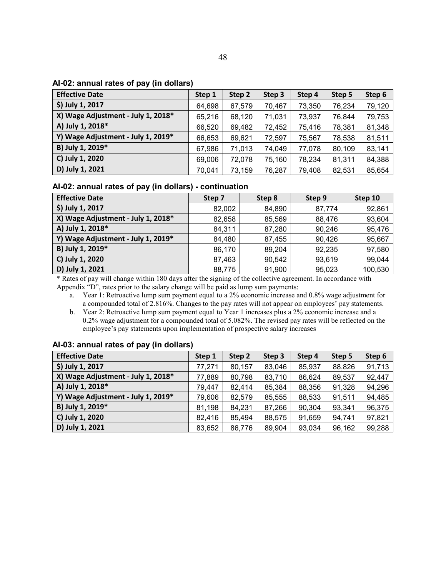#### **AI-02: annual rates of pay (in dollars)**

| <b>Effective Date</b>              | Step 1 | Step 2 | Step 3 | Step 4 | Step 5 | Step 6 |
|------------------------------------|--------|--------|--------|--------|--------|--------|
| \$) July 1, 2017                   | 64,698 | 67,579 | 70,467 | 73,350 | 76,234 | 79,120 |
| X) Wage Adjustment - July 1, 2018* | 65,216 | 68,120 | 71,031 | 73,937 | 76,844 | 79,753 |
| A) July 1, 2018*                   | 66,520 | 69,482 | 72,452 | 75,416 | 78,381 | 81,348 |
| Y) Wage Adjustment - July 1, 2019* | 66,653 | 69,621 | 72,597 | 75,567 | 78,538 | 81,511 |
| B) July 1, 2019*                   | 67,986 | 71,013 | 74,049 | 77,078 | 80,109 | 83,141 |
| C) July 1, 2020                    | 69,006 | 72,078 | 75,160 | 78,234 | 81,311 | 84,388 |
| D) July 1, 2021                    | 70,041 | 73,159 | 76,287 | 79,408 | 82,531 | 85,654 |

#### **AI-02: annual rates of pay (in dollars) - continuation**

| <b>Effective Date</b>              | Step 7 | Step 8 | Step 9 | Step 10 |
|------------------------------------|--------|--------|--------|---------|
| $$)$ July 1, 2017                  | 82,002 | 84,890 | 87,774 | 92,861  |
| X) Wage Adjustment - July 1, 2018* | 82,658 | 85,569 | 88,476 | 93,604  |
| A) July 1, 2018*                   | 84,311 | 87,280 | 90,246 | 95,476  |
| Y) Wage Adjustment - July 1, 2019* | 84,480 | 87,455 | 90,426 | 95,667  |
| B) July 1, 2019*                   | 86,170 | 89,204 | 92,235 | 97,580  |
| C) July 1, 2020                    | 87,463 | 90,542 | 93,619 | 99,044  |
| D) July 1, 2021                    | 88,775 | 91,900 | 95,023 | 100,530 |

\* Rates of pay will change within 180 days after the signing of the collective agreement. In accordance with Appendix "D", rates prior to the salary change will be paid as lump sum payments:

a. Year 1: Retroactive lump sum payment equal to a 2% economic increase and 0.8% wage adjustment for a compounded total of 2.816%. Changes to the pay rates will not appear on employees' pay statements.

b. Year 2: Retroactive lump sum payment equal to Year 1 increases plus a 2% economic increase and a 0.2% wage adjustment for a compounded total of 5.082%. The revised pay rates will be reflected on the employee's pay statements upon implementation of prospective salary increases

| <b>Effective Date</b>              | Step 1 | Step 2 | Step 3 | Step 4 | Step 5 | Step 6 |
|------------------------------------|--------|--------|--------|--------|--------|--------|
| \$) July 1, 2017                   | 77,271 | 80,157 | 83,046 | 85,937 | 88,826 | 91,713 |
| X) Wage Adjustment - July 1, 2018* | 77,889 | 80,798 | 83,710 | 86,624 | 89,537 | 92,447 |
| A) July 1, 2018*                   | 79,447 | 82,414 | 85,384 | 88,356 | 91,328 | 94,296 |
| Y) Wage Adjustment - July 1, 2019* | 79,606 | 82,579 | 85,555 | 88,533 | 91,511 | 94,485 |
| B) July 1, 2019*                   | 81,198 | 84,231 | 87,266 | 90,304 | 93,341 | 96,375 |
| C) July 1, 2020                    | 82,416 | 85,494 | 88,575 | 91,659 | 94,741 | 97,821 |
| D) July 1, 2021                    | 83,652 | 86,776 | 89,904 | 93,034 | 96,162 | 99,288 |

#### **AI-03: annual rates of pay (in dollars)**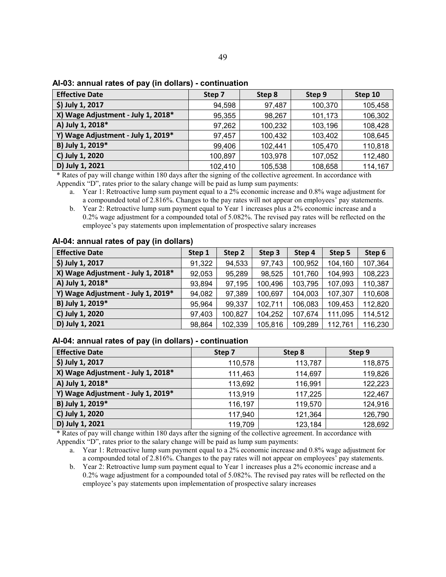| <b>Effective Date</b>              | Step 8<br>Step 7 |         | Step 9  | Step 10 |  |
|------------------------------------|------------------|---------|---------|---------|--|
| \$) July 1, 2017                   | 94,598           | 97,487  | 100,370 | 105,458 |  |
| X) Wage Adjustment - July 1, 2018* | 95,355           | 98,267  | 101,173 | 106,302 |  |
| A) July 1, 2018*                   | 97,262           | 100,232 | 103,196 | 108,428 |  |
| Y) Wage Adjustment - July 1, 2019* | 97,457           | 100,432 | 103,402 | 108,645 |  |
| B) July 1, 2019*                   | 99,406           | 102,441 | 105,470 | 110,818 |  |
| C) July 1, 2020                    | 100,897          | 103,978 | 107,052 | 112,480 |  |
| D) July 1, 2021                    | 102,410          | 105,538 | 108,658 | 114,167 |  |

**AI-03: annual rates of pay (in dollars) - continuation**

\* Rates of pay will change within 180 days after the signing of the collective agreement. In accordance with Appendix "D", rates prior to the salary change will be paid as lump sum payments:

a. Year 1: Retroactive lump sum payment equal to a 2% economic increase and 0.8% wage adjustment for a compounded total of 2.816%. Changes to the pay rates will not appear on employees' pay statements.

b. Year 2: Retroactive lump sum payment equal to Year 1 increases plus a 2% economic increase and a 0.2% wage adjustment for a compounded total of 5.082%. The revised pay rates will be reflected on the employee's pay statements upon implementation of prospective salary increases

| <b>Effective Date</b>              | Step 1 | Step 2  | Step 3  | Step 4  | Step 5  | Step 6  |
|------------------------------------|--------|---------|---------|---------|---------|---------|
| \$) July 1, 2017                   | 91,322 | 94,533  | 97,743  | 100,952 | 104,160 | 107,364 |
| X) Wage Adjustment - July 1, 2018* | 92,053 | 95,289  | 98,525  | 101,760 | 104,993 | 108,223 |
| A) July 1, 2018*                   | 93,894 | 97,195  | 100,496 | 103,795 | 107,093 | 110,387 |
| Y) Wage Adjustment - July 1, 2019* | 94,082 | 97,389  | 100,697 | 104,003 | 107,307 | 110,608 |
| B) July 1, 2019*                   | 95,964 | 99,337  | 102,711 | 106,083 | 109,453 | 112,820 |
| C) July 1, 2020                    | 97,403 | 100,827 | 104,252 | 107,674 | 111,095 | 114,512 |
| D) July 1, 2021                    | 98,864 | 102,339 | 105,816 | 109,289 | 112,761 | 116,230 |

#### **AI-04: annual rates of pay (in dollars)**

#### **AI-04: annual rates of pay (in dollars) - continuation**

| <b>Effective Date</b>              | Step 7  | Step 8  | Step 9  |
|------------------------------------|---------|---------|---------|
| \$) July 1, 2017                   | 110,578 | 113,787 | 118,875 |
| X) Wage Adjustment - July 1, 2018* | 111,463 | 114,697 | 119,826 |
| A) July 1, 2018*                   | 113,692 | 116,991 | 122,223 |
| Y) Wage Adjustment - July 1, 2019* | 113,919 | 117,225 | 122,467 |
| B) July 1, 2019*                   | 116,197 | 119,570 | 124,916 |
| C) July 1, 2020                    | 117,940 | 121,364 | 126,790 |
| D) July 1, 2021                    | 119,709 | 123,184 | 128,692 |

\* Rates of pay will change within 180 days after the signing of the collective agreement. In accordance with Appendix "D", rates prior to the salary change will be paid as lump sum payments:

- a. Year 1: Retroactive lump sum payment equal to a 2% economic increase and 0.8% wage adjustment for a compounded total of 2.816%. Changes to the pay rates will not appear on employees' pay statements.
- b. Year 2: Retroactive lump sum payment equal to Year 1 increases plus a 2% economic increase and a 0.2% wage adjustment for a compounded total of 5.082%. The revised pay rates will be reflected on the employee's pay statements upon implementation of prospective salary increases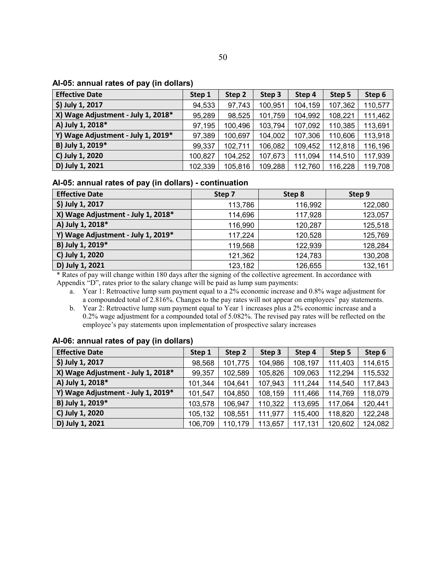#### **AI-05: annual rates of pay (in dollars)**

| <b>Effective Date</b>              | Step 1  | Step 2  | Step 3  | Step 4  | Step 5  | Step 6  |
|------------------------------------|---------|---------|---------|---------|---------|---------|
| $$)$ July 1, 2017                  | 94,533  | 97,743  | 100,951 | 104,159 | 107,362 | 110,577 |
| X) Wage Adjustment - July 1, 2018* | 95,289  | 98,525  | 101,759 | 104,992 | 108,221 | 111,462 |
| A) July 1, 2018*                   | 97,195  | 100,496 | 103,794 | 107,092 | 110,385 | 113,691 |
| Y) Wage Adjustment - July 1, 2019* | 97,389  | 100,697 | 104,002 | 107,306 | 110,606 | 113,918 |
| B) July 1, 2019*                   | 99,337  | 102,711 | 106,082 | 109,452 | 112,818 | 116,196 |
| C) July 1, 2020                    | 100,827 | 104,252 | 107,673 | 111,094 | 114,510 | 117,939 |
| D) July 1, 2021                    | 102,339 | 105,816 | 109,288 | 112,760 | 116,228 | 119,708 |

#### **AI-05: annual rates of pay (in dollars) - continuation**

| <b>Effective Date</b>              | Step 7  | Step 8  | Step 9  |
|------------------------------------|---------|---------|---------|
| \$) July 1, 2017                   | 113,786 | 116,992 | 122,080 |
| X) Wage Adjustment - July 1, 2018* | 114,696 | 117,928 | 123,057 |
| A) July 1, 2018*                   | 116,990 | 120,287 | 125,518 |
| Y) Wage Adjustment - July 1, 2019* | 117,224 | 120,528 | 125,769 |
| B) July 1, 2019*                   | 119,568 | 122,939 | 128,284 |
| C) July 1, 2020                    | 121,362 | 124,783 | 130,208 |
| D) July 1, 2021                    | 123,182 | 126,655 | 132,161 |

\* Rates of pay will change within 180 days after the signing of the collective agreement. In accordance with Appendix "D", rates prior to the salary change will be paid as lump sum payments:

a. Year 1: Retroactive lump sum payment equal to a 2% economic increase and 0.8% wage adjustment for a compounded total of 2.816%. Changes to the pay rates will not appear on employees' pay statements.

b. Year 2: Retroactive lump sum payment equal to Year 1 increases plus a 2% economic increase and a 0.2% wage adjustment for a compounded total of 5.082%. The revised pay rates will be reflected on the employee's pay statements upon implementation of prospective salary increases

| <b>Effective Date</b>              | Step 1  | Step 2  | Step 3  | Step 4  | Step 5  | Step 6  |
|------------------------------------|---------|---------|---------|---------|---------|---------|
| \$) July 1, 2017                   | 98,568  | 101,775 | 104,986 | 108,197 | 111,403 | 114,615 |
| X) Wage Adjustment - July 1, 2018* | 99,357  | 102,589 | 105,826 | 109,063 | 112,294 | 115,532 |
| A) July 1, 2018*                   | 101,344 | 104,641 | 107,943 | 111,244 | 114,540 | 117,843 |
| Y) Wage Adjustment - July 1, 2019* | 101,547 | 104,850 | 108,159 | 111,466 | 114,769 | 118,079 |
| B) July 1, 2019*                   | 103,578 | 106,947 | 110,322 | 113,695 | 117,064 | 120,441 |
| C) July 1, 2020                    | 105,132 | 108,551 | 111,977 | 115,400 | 118,820 | 122,248 |
| D) July 1, 2021                    | 106,709 | 110,179 | 113,657 | 117,131 | 120,602 | 124,082 |

#### **AI-06: annual rates of pay (in dollars)**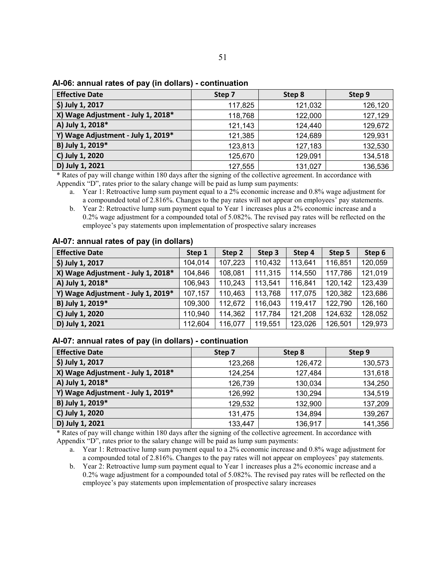| <b>Effective Date</b>              | Step 7  | Step 8  | Step 9  |
|------------------------------------|---------|---------|---------|
| \$) July 1, 2017                   | 117,825 | 121,032 | 126,120 |
| X) Wage Adjustment - July 1, 2018* | 118,768 | 122,000 | 127,129 |
| A) July 1, 2018*                   | 121,143 | 124,440 | 129,672 |
| Y) Wage Adjustment - July 1, 2019* | 121,385 | 124,689 | 129,931 |
| B) July 1, 2019*                   | 123,813 | 127,183 | 132,530 |
| C) July 1, 2020                    | 125,670 | 129,091 | 134,518 |
| D) July 1, 2021                    | 127,555 | 131,027 | 136,536 |

**AI-06: annual rates of pay (in dollars) - continuation**

\* Rates of pay will change within 180 days after the signing of the collective agreement. In accordance with Appendix "D", rates prior to the salary change will be paid as lump sum payments:

a. Year 1: Retroactive lump sum payment equal to a 2% economic increase and 0.8% wage adjustment for a compounded total of 2.816%. Changes to the pay rates will not appear on employees' pay statements.

b. Year 2: Retroactive lump sum payment equal to Year 1 increases plus a 2% economic increase and a 0.2% wage adjustment for a compounded total of 5.082%. The revised pay rates will be reflected on the employee's pay statements upon implementation of prospective salary increases

| <b>Effective Date</b>              | Step 1  | Step 2  | Step 3  | Step 4  | Step 5  | Step 6  |
|------------------------------------|---------|---------|---------|---------|---------|---------|
| \$) July 1, 2017                   | 104,014 | 107,223 | 110,432 | 113,641 | 116,851 | 120,059 |
| X) Wage Adjustment - July 1, 2018* | 104,846 | 108,081 | 111,315 | 114,550 | 117,786 | 121,019 |
| A) July 1, 2018*                   | 106,943 | 110,243 | 113,541 | 116,841 | 120,142 | 123,439 |
| Y) Wage Adjustment - July 1, 2019* | 107,157 | 110,463 | 113,768 | 117,075 | 120,382 | 123,686 |
| B) July 1, 2019*                   | 109,300 | 112,672 | 116,043 | 119,417 | 122,790 | 126,160 |
| C) July 1, 2020                    | 110,940 | 114,362 | 117,784 | 121,208 | 124,632 | 128,052 |
| D) July 1, 2021                    | 112,604 | 116,077 | 119,551 | 123,026 | 126,501 | 129,973 |

#### **AI-07: annual rates of pay (in dollars)**

#### **AI-07: annual rates of pay (in dollars) - continuation**

| <b>Effective Date</b>              | Step 7  | Step 8  | Step 9  |
|------------------------------------|---------|---------|---------|
| \$) July 1, 2017                   | 123,268 | 126,472 | 130,573 |
| X) Wage Adjustment - July 1, 2018* | 124,254 | 127,484 | 131,618 |
| A) July 1, 2018*                   | 126,739 | 130,034 | 134,250 |
| Y) Wage Adjustment - July 1, 2019* | 126,992 | 130,294 | 134,519 |
| B) July 1, 2019*                   | 129,532 | 132,900 | 137,209 |
| C) July 1, 2020                    | 131,475 | 134,894 | 139,267 |
| D) July 1, 2021                    | 133,447 | 136,917 | 141,356 |

\* Rates of pay will change within 180 days after the signing of the collective agreement. In accordance with Appendix "D", rates prior to the salary change will be paid as lump sum payments:

- a. Year 1: Retroactive lump sum payment equal to a 2% economic increase and 0.8% wage adjustment for a compounded total of 2.816%. Changes to the pay rates will not appear on employees' pay statements.
- b. Year 2: Retroactive lump sum payment equal to Year 1 increases plus a 2% economic increase and a 0.2% wage adjustment for a compounded total of 5.082%. The revised pay rates will be reflected on the employee's pay statements upon implementation of prospective salary increases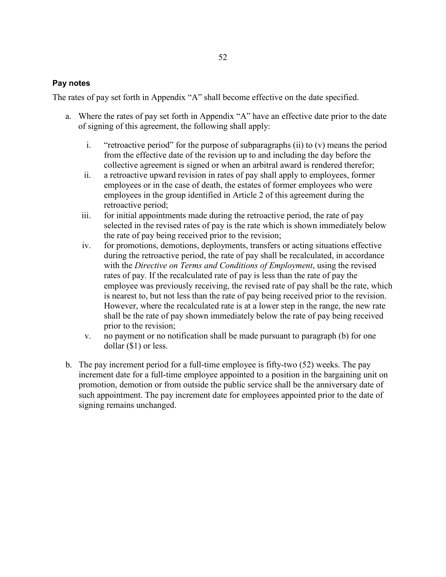#### **Pay notes**

The rates of pay set forth in Appendix "A" shall become effective on the date specified.

- a. Where the rates of pay set forth in Appendix "A" have an effective date prior to the date of signing of this agreement, the following shall apply:
	- i. "retroactive period" for the purpose of subparagraphs (ii) to  $(v)$  means the period from the effective date of the revision up to and including the day before the collective agreement is signed or when an arbitral award is rendered therefor;
	- ii. a retroactive upward revision in rates of pay shall apply to employees, former employees or in the case of death, the estates of former employees who were employees in the group identified in Article 2 of this agreement during the retroactive period;
	- iii. for initial appointments made during the retroactive period, the rate of pay selected in the revised rates of pay is the rate which is shown immediately below the rate of pay being received prior to the revision;
	- iv. for promotions, demotions, deployments, transfers or acting situations effective during the retroactive period, the rate of pay shall be recalculated, in accordance with the *Directive on Terms and Conditions of Employment*, using the revised rates of pay. If the recalculated rate of pay is less than the rate of pay the employee was previously receiving, the revised rate of pay shall be the rate, which is nearest to, but not less than the rate of pay being received prior to the revision. However, where the recalculated rate is at a lower step in the range, the new rate shall be the rate of pay shown immediately below the rate of pay being received prior to the revision;
	- v. no payment or no notification shall be made pursuant to paragraph (b) for one dollar (\$1) or less.
- b. The pay increment period for a full-time employee is fifty-two (52) weeks. The pay increment date for a full-time employee appointed to a position in the bargaining unit on promotion, demotion or from outside the public service shall be the anniversary date of such appointment. The pay increment date for employees appointed prior to the date of signing remains unchanged.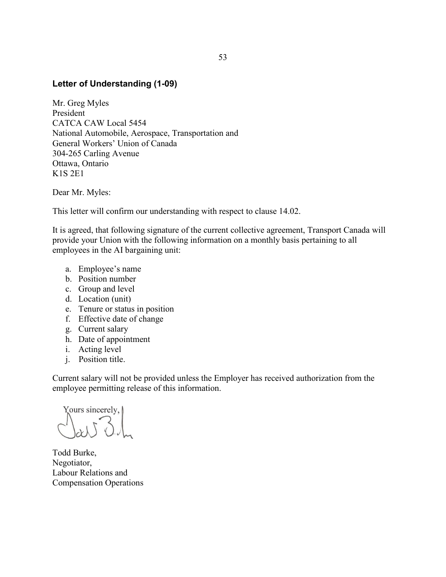#### **Letter of Understanding (1-09)**

Mr. Greg Myles President CATCA CAW Local 5454 National Automobile, Aerospace, Transportation and General Workers' Union of Canada 304-265 Carling Avenue Ottawa, Ontario K1S 2E1

Dear Mr. Myles:

This letter will confirm our understanding with respect to clause 14.02.

It is agreed, that following signature of the current collective agreement, Transport Canada will provide your Union with the following information on a monthly basis pertaining to all employees in the AI bargaining unit:

- a. Employee's name
- b. Position number
- c. Group and level
- d. Location (unit)
- e. Tenure or status in position
- f. Effective date of change
- g. Current salary
- h. Date of appointment
- i. Acting level
- j. Position title.

Current salary will not be provided unless the Employer has received authorization from the employee permitting release of this information.

Yours sincerely,

Todd Burke, Negotiator, Labour Relations and Compensation Operations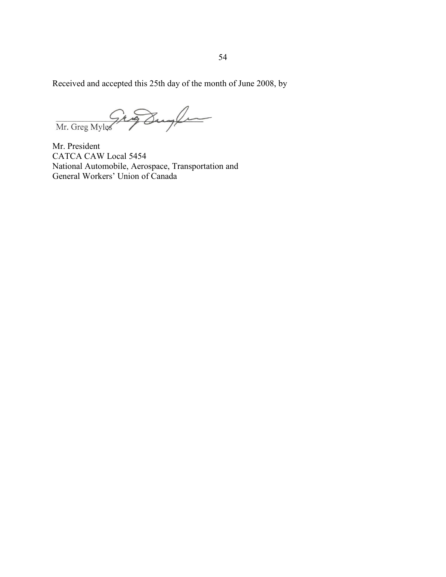Received and accepted this 25th day of the month of June 2008, by

Mr. Greg Myles Jug Dung le

Mr. President CATCA CAW Local 5454 National Automobile, Aerospace, Transportation and General Workers' Union of Canada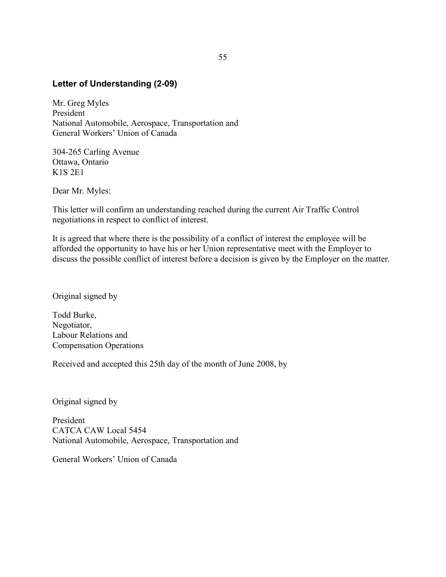#### **Letter of Understanding (2-09)**

Mr. Greg Myles President National Automobile, Aerospace, Transportation and General Workers' Union of Canada

304-265 Carling Avenue Ottawa, Ontario K1S 2E1

Dear Mr. Myles:

This letter will confirm an understanding reached during the current Air Traffic Control negotiations in respect to conflict of interest.

It is agreed that where there is the possibility of a conflict of interest the employee will be afforded the opportunity to have his or her Union representative meet with the Employer to discuss the possible conflict of interest before a decision is given by the Employer on the matter.

Original signed by

Todd Burke, Negotiator, Labour Relations and Compensation Operations

Received and accepted this 25th day of the month of June 2008, by

Original signed by

President CATCA CAW Local 5454 National Automobile, Aerospace, Transportation and

General Workers' Union of Canada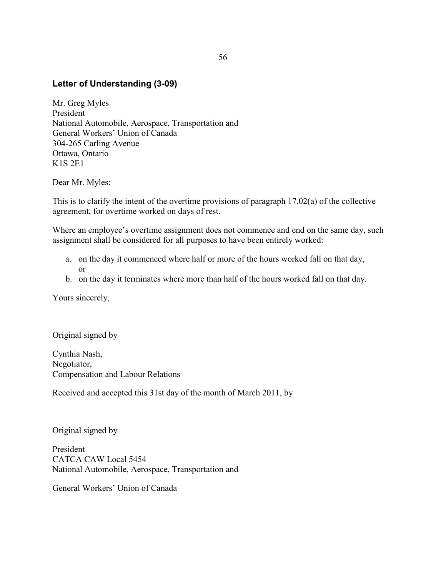#### **Letter of Understanding (3-09)**

Mr. Greg Myles President National Automobile, Aerospace, Transportation and General Workers' Union of Canada 304-265 Carling Avenue Ottawa, Ontario K1S 2E1

Dear Mr. Myles:

This is to clarify the intent of the overtime provisions of paragraph 17.02(a) of the collective agreement, for overtime worked on days of rest.

Where an employee's overtime assignment does not commence and end on the same day, such assignment shall be considered for all purposes to have been entirely worked:

- a. on the day it commenced where half or more of the hours worked fall on that day, or
- b. on the day it terminates where more than half of the hours worked fall on that day.

Yours sincerely,

Original signed by

Cynthia Nash, Negotiator, Compensation and Labour Relations

Received and accepted this 31st day of the month of March 2011, by

Original signed by

President CATCA CAW Local 5454 National Automobile, Aerospace, Transportation and

General Workers' Union of Canada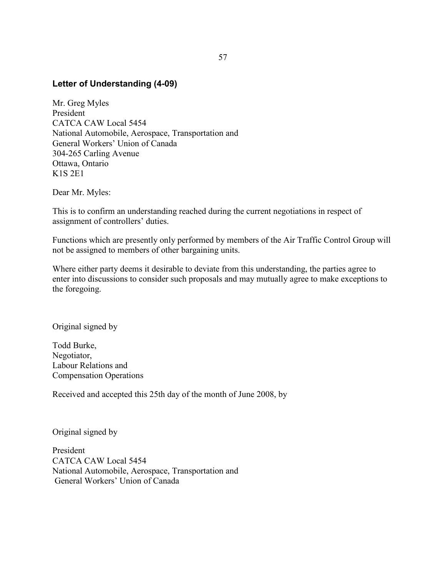#### **Letter of Understanding (4-09)**

Mr. Greg Myles President CATCA CAW Local 5454 National Automobile, Aerospace, Transportation and General Workers' Union of Canada 304-265 Carling Avenue Ottawa, Ontario K1S 2E1

Dear Mr. Myles:

This is to confirm an understanding reached during the current negotiations in respect of assignment of controllers' duties.

Functions which are presently only performed by members of the Air Traffic Control Group will not be assigned to members of other bargaining units.

Where either party deems it desirable to deviate from this understanding, the parties agree to enter into discussions to consider such proposals and may mutually agree to make exceptions to the foregoing.

Original signed by

Todd Burke, Negotiator, Labour Relations and Compensation Operations

Received and accepted this 25th day of the month of June 2008, by

Original signed by

President CATCA CAW Local 5454 National Automobile, Aerospace, Transportation and General Workers' Union of Canada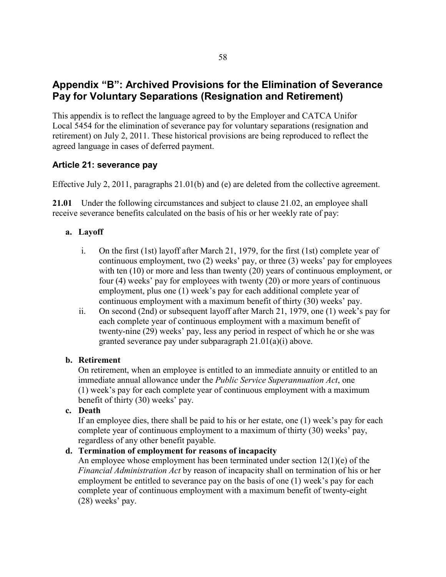# **Appendix "B": Archived Provisions for the Elimination of Severance Pay for Voluntary Separations (Resignation and Retirement)**

This appendix is to reflect the language agreed to by the Employer and CATCA Unifor Local 5454 for the elimination of severance pay for voluntary separations (resignation and retirement) on July 2, 2011. These historical provisions are being reproduced to reflect the agreed language in cases of deferred payment.

### **Article 21: severance pay**

Effective July 2, 2011, paragraphs 21.01(b) and (e) are deleted from the collective agreement.

**21.01** Under the following circumstances and subject to clause 21.02, an employee shall receive severance benefits calculated on the basis of his or her weekly rate of pay:

### **a. Layoff**

- i. On the first (1st) layoff after March 21, 1979, for the first (1st) complete year of continuous employment, two (2) weeks' pay, or three (3) weeks' pay for employees with ten (10) or more and less than twenty (20) years of continuous employment, or four (4) weeks' pay for employees with twenty (20) or more years of continuous employment, plus one (1) week's pay for each additional complete year of continuous employment with a maximum benefit of thirty (30) weeks' pay.
- ii. On second (2nd) or subsequent layoff after March 21, 1979, one (1) week's pay for each complete year of continuous employment with a maximum benefit of twenty-nine (29) weeks' pay, less any period in respect of which he or she was granted severance pay under subparagraph 21.01(a)(i) above.

#### **b. Retirement**

On retirement, when an employee is entitled to an immediate annuity or entitled to an immediate annual allowance under the *Public Service Superannuation Act*, one (1) week's pay for each complete year of continuous employment with a maximum benefit of thirty (30) weeks' pay.

**c. Death**

If an employee dies, there shall be paid to his or her estate, one (1) week's pay for each complete year of continuous employment to a maximum of thirty (30) weeks' pay, regardless of any other benefit payable.

### **d. Termination of employment for reasons of incapacity**

An employee whose employment has been terminated under section  $12(1)(e)$  of the *Financial Administration Act* by reason of incapacity shall on termination of his or her employment be entitled to severance pay on the basis of one (1) week's pay for each complete year of continuous employment with a maximum benefit of twenty-eight (28) weeks' pay.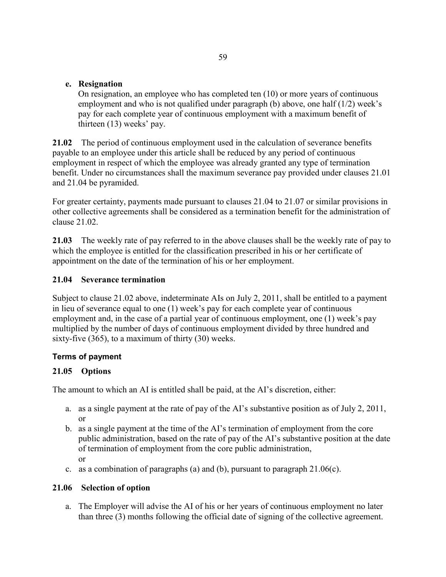### **e. Resignation**

On resignation, an employee who has completed ten (10) or more years of continuous employment and who is not qualified under paragraph (b) above, one half (1/2) week's pay for each complete year of continuous employment with a maximum benefit of thirteen (13) weeks' pay.

**21.02** The period of continuous employment used in the calculation of severance benefits payable to an employee under this article shall be reduced by any period of continuous employment in respect of which the employee was already granted any type of termination benefit. Under no circumstances shall the maximum severance pay provided under clauses 21.01 and 21.04 be pyramided.

For greater certainty, payments made pursuant to clauses 21.04 to 21.07 or similar provisions in other collective agreements shall be considered as a termination benefit for the administration of clause 21.02.

**21.03** The weekly rate of pay referred to in the above clauses shall be the weekly rate of pay to which the employee is entitled for the classification prescribed in his or her certificate of appointment on the date of the termination of his or her employment.

### **21.04 Severance termination**

Subject to clause 21.02 above, indeterminate AIs on July 2, 2011, shall be entitled to a payment in lieu of severance equal to one (1) week's pay for each complete year of continuous employment and, in the case of a partial year of continuous employment, one (1) week's pay multiplied by the number of days of continuous employment divided by three hundred and sixty-five (365), to a maximum of thirty (30) weeks.

### **Terms of payment**

### **21.05 Options**

The amount to which an AI is entitled shall be paid, at the AI's discretion, either:

- a. as a single payment at the rate of pay of the AI's substantive position as of July 2, 2011, or
- b. as a single payment at the time of the AI's termination of employment from the core public administration, based on the rate of pay of the AI's substantive position at the date of termination of employment from the core public administration, or
- c. as a combination of paragraphs (a) and (b), pursuant to paragraph  $21.06(c)$ .

### **21.06 Selection of option**

a. The Employer will advise the AI of his or her years of continuous employment no later than three (3) months following the official date of signing of the collective agreement.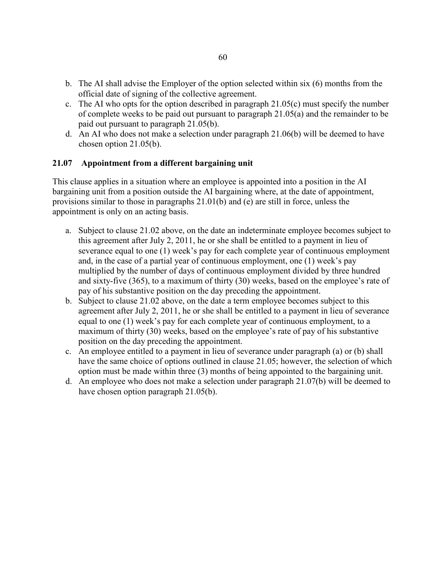- b. The AI shall advise the Employer of the option selected within six (6) months from the official date of signing of the collective agreement.
- c. The AI who opts for the option described in paragraph  $21.05(c)$  must specify the number of complete weeks to be paid out pursuant to paragraph 21.05(a) and the remainder to be paid out pursuant to paragraph 21.05(b).
- d. An AI who does not make a selection under paragraph 21.06(b) will be deemed to have chosen option 21.05(b).

#### **21.07 Appointment from a different bargaining unit**

This clause applies in a situation where an employee is appointed into a position in the AI bargaining unit from a position outside the AI bargaining where, at the date of appointment, provisions similar to those in paragraphs 21.01(b) and (e) are still in force, unless the appointment is only on an acting basis.

- a. Subject to clause 21.02 above, on the date an indeterminate employee becomes subject to this agreement after July 2, 2011, he or she shall be entitled to a payment in lieu of severance equal to one (1) week's pay for each complete year of continuous employment and, in the case of a partial year of continuous employment, one (1) week's pay multiplied by the number of days of continuous employment divided by three hundred and sixty-five (365), to a maximum of thirty (30) weeks, based on the employee's rate of pay of his substantive position on the day preceding the appointment.
- b. Subject to clause 21.02 above, on the date a term employee becomes subject to this agreement after July 2, 2011, he or she shall be entitled to a payment in lieu of severance equal to one (1) week's pay for each complete year of continuous employment, to a maximum of thirty (30) weeks, based on the employee's rate of pay of his substantive position on the day preceding the appointment.
- c. An employee entitled to a payment in lieu of severance under paragraph (a) or (b) shall have the same choice of options outlined in clause 21.05; however, the selection of which option must be made within three (3) months of being appointed to the bargaining unit.
- d. An employee who does not make a selection under paragraph 21.07(b) will be deemed to have chosen option paragraph 21.05(b).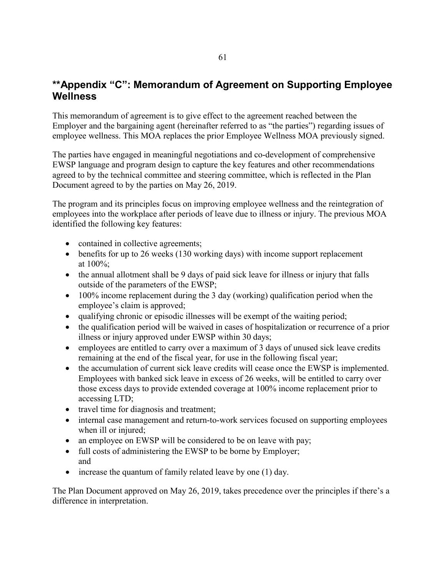# **\*\*Appendix "C": Memorandum of Agreement on Supporting Employee Wellness**

This memorandum of agreement is to give effect to the agreement reached between the Employer and the bargaining agent (hereinafter referred to as "the parties") regarding issues of employee wellness. This MOA replaces the prior Employee Wellness MOA previously signed.

The parties have engaged in meaningful negotiations and co-development of comprehensive EWSP language and program design to capture the key features and other recommendations agreed to by the technical committee and steering committee, which is reflected in the Plan Document agreed to by the parties on May 26, 2019.

The program and its principles focus on improving employee wellness and the reintegration of employees into the workplace after periods of leave due to illness or injury. The previous MOA identified the following key features:

- contained in collective agreements;
- benefits for up to 26 weeks (130 working days) with income support replacement at 100%;
- the annual allotment shall be 9 days of paid sick leave for illness or injury that falls outside of the parameters of the EWSP;
- 100% income replacement during the 3 day (working) qualification period when the employee's claim is approved;
- qualifying chronic or episodic illnesses will be exempt of the waiting period;
- the qualification period will be waived in cases of hospitalization or recurrence of a prior illness or injury approved under EWSP within 30 days;
- employees are entitled to carry over a maximum of 3 days of unused sick leave credits remaining at the end of the fiscal year, for use in the following fiscal year;
- the accumulation of current sick leave credits will cease once the EWSP is implemented. Employees with banked sick leave in excess of 26 weeks, will be entitled to carry over those excess days to provide extended coverage at 100% income replacement prior to accessing LTD;
- travel time for diagnosis and treatment;
- internal case management and return-to-work services focused on supporting employees when ill or injured;
- an employee on EWSP will be considered to be on leave with pay;
- full costs of administering the EWSP to be borne by Employer; and
- increase the quantum of family related leave by one (1) day.

The Plan Document approved on May 26, 2019, takes precedence over the principles if there's a difference in interpretation.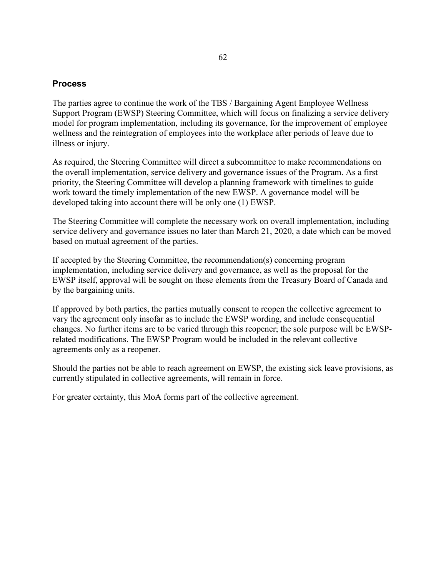#### **Process**

The parties agree to continue the work of the TBS / Bargaining Agent Employee Wellness Support Program (EWSP) Steering Committee, which will focus on finalizing a service delivery model for program implementation, including its governance, for the improvement of employee wellness and the reintegration of employees into the workplace after periods of leave due to illness or injury.

As required, the Steering Committee will direct a subcommittee to make recommendations on the overall implementation, service delivery and governance issues of the Program. As a first priority, the Steering Committee will develop a planning framework with timelines to guide work toward the timely implementation of the new EWSP. A governance model will be developed taking into account there will be only one (1) EWSP.

The Steering Committee will complete the necessary work on overall implementation, including service delivery and governance issues no later than March 21, 2020, a date which can be moved based on mutual agreement of the parties.

If accepted by the Steering Committee, the recommendation(s) concerning program implementation, including service delivery and governance, as well as the proposal for the EWSP itself, approval will be sought on these elements from the Treasury Board of Canada and by the bargaining units.

If approved by both parties, the parties mutually consent to reopen the collective agreement to vary the agreement only insofar as to include the EWSP wording, and include consequential changes. No further items are to be varied through this reopener; the sole purpose will be EWSPrelated modifications. The EWSP Program would be included in the relevant collective agreements only as a reopener.

Should the parties not be able to reach agreement on EWSP, the existing sick leave provisions, as currently stipulated in collective agreements, will remain in force.

For greater certainty, this MoA forms part of the collective agreement.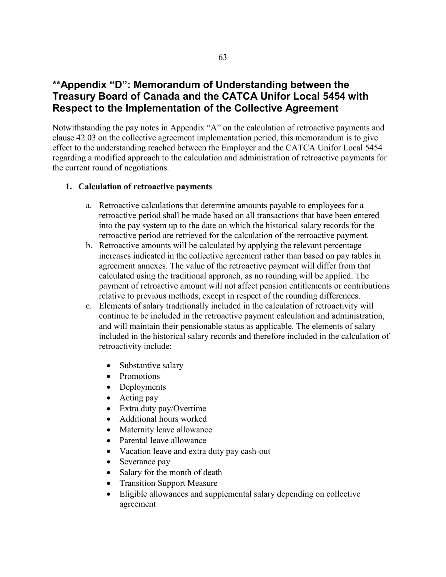# **\*\*Appendix "D": Memorandum of Understanding between the Treasury Board of Canada and the CATCA Unifor Local 5454 with Respect to the Implementation of the Collective Agreement**

Notwithstanding the pay notes in Appendix "A" on the calculation of retroactive payments and clause 42.03 on the collective agreement implementation period, this memorandum is to give effect to the understanding reached between the Employer and the CATCA Unifor Local 5454 regarding a modified approach to the calculation and administration of retroactive payments for the current round of negotiations.

#### **1. Calculation of retroactive payments**

- a. Retroactive calculations that determine amounts payable to employees for a retroactive period shall be made based on all transactions that have been entered into the pay system up to the date on which the historical salary records for the retroactive period are retrieved for the calculation of the retroactive payment.
- b. Retroactive amounts will be calculated by applying the relevant percentage increases indicated in the collective agreement rather than based on pay tables in agreement annexes. The value of the retroactive payment will differ from that calculated using the traditional approach, as no rounding will be applied. The payment of retroactive amount will not affect pension entitlements or contributions relative to previous methods, except in respect of the rounding differences.
- c. Elements of salary traditionally included in the calculation of retroactivity will continue to be included in the retroactive payment calculation and administration, and will maintain their pensionable status as applicable. The elements of salary included in the historical salary records and therefore included in the calculation of retroactivity include:
	- Substantive salary
	- Promotions
	- Deployments
	- Acting pay
	- Extra duty pay/Overtime
	- Additional hours worked
	- Maternity leave allowance
	- Parental leave allowance
	- Vacation leave and extra duty pay cash-out
	- Severance pay
	- Salary for the month of death
	- Transition Support Measure
	- Eligible allowances and supplemental salary depending on collective agreement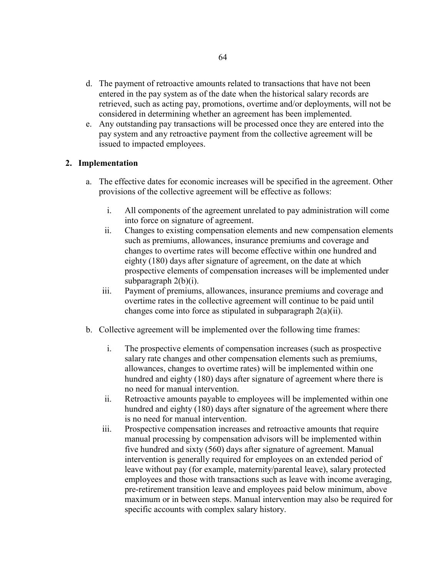- d. The payment of retroactive amounts related to transactions that have not been entered in the pay system as of the date when the historical salary records are retrieved, such as acting pay, promotions, overtime and/or deployments, will not be considered in determining whether an agreement has been implemented.
- e. Any outstanding pay transactions will be processed once they are entered into the pay system and any retroactive payment from the collective agreement will be issued to impacted employees.

#### **2. Implementation**

- a. The effective dates for economic increases will be specified in the agreement. Other provisions of the collective agreement will be effective as follows:
	- i. All components of the agreement unrelated to pay administration will come into force on signature of agreement.
	- ii. Changes to existing compensation elements and new compensation elements such as premiums, allowances, insurance premiums and coverage and changes to overtime rates will become effective within one hundred and eighty (180) days after signature of agreement, on the date at which prospective elements of compensation increases will be implemented under subparagraph 2(b)(i).
	- iii. Payment of premiums, allowances, insurance premiums and coverage and overtime rates in the collective agreement will continue to be paid until changes come into force as stipulated in subparagraph 2(a)(ii).
- b. Collective agreement will be implemented over the following time frames:
	- i. The prospective elements of compensation increases (such as prospective salary rate changes and other compensation elements such as premiums, allowances, changes to overtime rates) will be implemented within one hundred and eighty (180) days after signature of agreement where there is no need for manual intervention.
	- ii. Retroactive amounts payable to employees will be implemented within one hundred and eighty (180) days after signature of the agreement where there is no need for manual intervention.
	- iii. Prospective compensation increases and retroactive amounts that require manual processing by compensation advisors will be implemented within five hundred and sixty (560) days after signature of agreement. Manual intervention is generally required for employees on an extended period of leave without pay (for example, maternity/parental leave), salary protected employees and those with transactions such as leave with income averaging, pre-retirement transition leave and employees paid below minimum, above maximum or in between steps. Manual intervention may also be required for specific accounts with complex salary history.